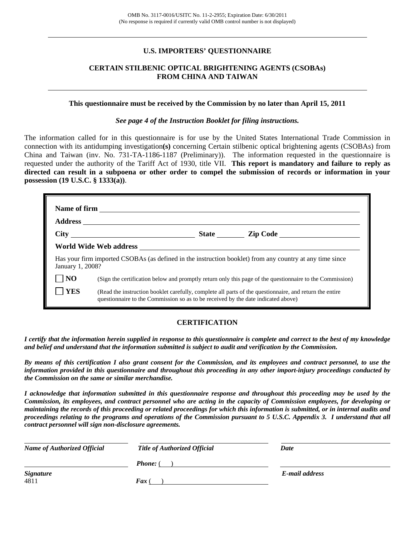## **U.S. IMPORTERS' QUESTIONNAIRE**

# **CERTAIN STILBENIC OPTICAL BRIGHTENING AGENTS (CSOBAs) FROM CHINA AND TAIWAN**

#### **This questionnaire must be received by the Commission by no later than April 15, 2011**

*See page 4 of the Instruction Booklet for filing instructions.* 

The information called for in this questionnaire is for use by the United States International Trade Commission in connection with its antidumping investigation**(s)** concerning Certain stilbenic optical brightening agents (CSOBAs) from China and Taiwan (inv. No. 731-TA-1186-1187 (Preliminary)). The information requested in the questionnaire is requested under the authority of the Tariff Act of 1930, title VII. **This report is mandatory and failure to reply as directed can result in a subpoena or other order to compel the submission of records or information in your possession (19 U.S.C. § 1333(a))**.

|                  |                                                                                                                                                                                              | State <u>Lip Code</u> |
|------------------|----------------------------------------------------------------------------------------------------------------------------------------------------------------------------------------------|-----------------------|
|                  |                                                                                                                                                                                              |                       |
| January 1, 2008? | Has your firm imported CSOBAs (as defined in the instruction booklet) from any country at any time since                                                                                     |                       |
| N <sub>O</sub>   | (Sign the certification below and promptly return only this page of the questionnaire to the Commission)                                                                                     |                       |
| YES              | (Read the instruction booklet carefully, complete all parts of the questionnaire, and return the entire<br>questionnaire to the Commission so as to be received by the date indicated above) |                       |

## **CERTIFICATION**

*I certify that the information herein supplied in response to this questionnaire is complete and correct to the best of my knowledge and belief and understand that the information submitted is subject to audit and verification by the Commission.* 

*By means of this certification I also grant consent for the Commission, and its employees and contract personnel, to use the information provided in this questionnaire and throughout this proceeding in any other import-injury proceedings conducted by the Commission on the same or similar merchandise.* 

*I acknowledge that information submitted in this questionnaire response and throughout this proceeding may be used by the Commission, its employees, and contract personnel who are acting in the capacity of Commission employees, for developing or maintaining the records of this proceeding or related proceedings for which this information is submitted, or in internal audits and proceedings relating to the programs and operations of the Commission pursuant to 5 U.S.C. Appendix 3. I understand that all contract personnel will sign non-disclosure agreements.* 

| <b>Name of Authorized Official</b> | <b>Title of Authorized Official</b> | Date           |
|------------------------------------|-------------------------------------|----------------|
|                                    | <b>Phone:</b> (                     |                |
| <b>Signature</b><br>4811           | Fax                                 | E-mail address |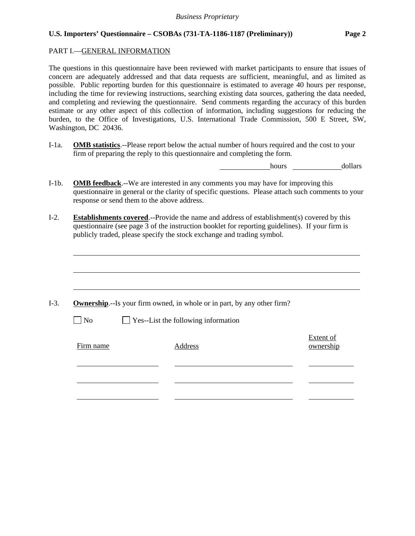# PART I.—GENERAL INFORMATION

 $\overline{a}$ 

The questions in this questionnaire have been reviewed with market participants to ensure that issues of concern are adequately addressed and that data requests are sufficient, meaningful, and as limited as possible. Public reporting burden for this questionnaire is estimated to average 40 hours per response, including the time for reviewing instructions, searching existing data sources, gathering the data needed, and completing and reviewing the questionnaire. Send comments regarding the accuracy of this burden estimate or any other aspect of this collection of information, including suggestions for reducing the burden, to the Office of Investigations, U.S. International Trade Commission, 500 E Street, SW, Washington, DC 20436.

I-1a. **OMB statistics**.--Please report below the actual number of hours required and the cost to your firm of preparing the reply to this questionnaire and completing the form.

hours dollars

- I-1b. **OMB feedback**.--We are interested in any comments you may have for improving this questionnaire in general or the clarity of specific questions. Please attach such comments to your response or send them to the above address.
- I-2. **Establishments covered**.--Provide the name and address of establishment(s) covered by this questionnaire (see page 3 of the instruction booklet for reporting guidelines). If your firm is publicly traded, please specify the stock exchange and trading symbol.

|           | <b>Ownership.</b> --Is your firm owned, in whole or in part, by any other firm? |                        |
|-----------|---------------------------------------------------------------------------------|------------------------|
| $\neg$ No | Yes--List the following information                                             |                        |
| Firm name | Address                                                                         | Extent of<br>ownership |
|           |                                                                                 |                        |
|           |                                                                                 |                        |
|           |                                                                                 |                        |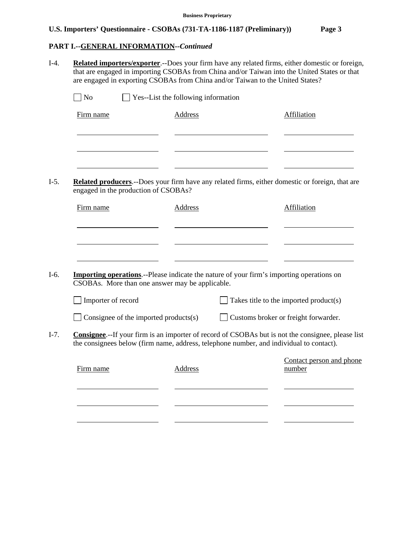# **PART I.--GENERAL INFORMATION***--Continued*

I-4. **Related importers/exporter**.--Does your firm have any related firms, either domestic or foreign, that are engaged in importing CSOBAs from China and/or Taiwan into the United States or that are engaged in exporting CSOBAs from China and/or Taiwan to the United States?

| Firm name                                                                                                                                           | <b>Address</b> | Affiliation                                                                                               |
|-----------------------------------------------------------------------------------------------------------------------------------------------------|----------------|-----------------------------------------------------------------------------------------------------------|
|                                                                                                                                                     |                |                                                                                                           |
| engaged in the production of CSOBAs?                                                                                                                |                | Related producers.--Does your firm have any related firms, either domestic or foreign, that are           |
| Firm name                                                                                                                                           | Address        | Affiliation                                                                                               |
| <b>Importing operations</b> .--Please indicate the nature of your firm's importing operations on<br>CSOBAs. More than one answer may be applicable. |                |                                                                                                           |
|                                                                                                                                                     |                |                                                                                                           |
| Importer of record                                                                                                                                  |                | Takes title to the imported product(s)                                                                    |
| Consignee of the imported products(s)                                                                                                               |                | Customs broker or freight forwarder.                                                                      |
|                                                                                                                                                     |                | <b>Consignee.</b> --If your firm is an importer of record of CSOBAs but is not the consignee, please list |
| the consignees below (firm name, address, telephone number, and individual to contact).<br>Firm name                                                | <b>Address</b> | Contact person and phone<br>number                                                                        |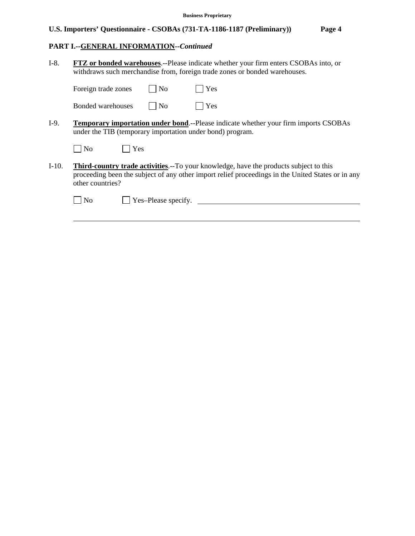# **PART I.--GENERAL INFORMATION***--Continued*

 $\overline{a}$ 

| $I-8.$  | FTZ or bonded warehouses.--Please indicate whether your firm enters CSOBAs into, or<br>withdraws such merchandise from, foreign trade zones or bonded warehouses.                                                     |  |
|---------|-----------------------------------------------------------------------------------------------------------------------------------------------------------------------------------------------------------------------|--|
|         | Yes<br>Foreign trade zones<br>N <sub>0</sub>                                                                                                                                                                          |  |
|         | Yes<br>Bonded warehouses<br>$ $ No                                                                                                                                                                                    |  |
| $I-9.$  | <b>Temporary importation under bond.</b> --Please indicate whether your firm imports CSOBAs<br>under the TIB (temporary importation under bond) program.                                                              |  |
|         | $ $ No<br>Yes                                                                                                                                                                                                         |  |
| $I-10.$ | <b>Third-country trade activities.--To your knowledge, have the products subject to this</b><br>proceeding been the subject of any other import relief proceedings in the United States or in any<br>other countries? |  |
|         | Yes-Please specify.<br>No                                                                                                                                                                                             |  |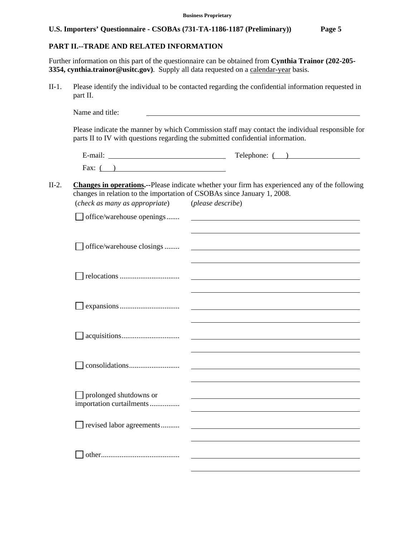# **PART II.--TRADE AND RELATED INFORMATION**

Further information on this part of the questionnaire can be obtained from **Cynthia Trainor (202-205- 3354, cynthia.trainor@usitc.gov**). Supply all data requested on a calendar-year basis.

II-1. Please identify the individual to be contacted regarding the confidential information requested in part II.

|                                                                                                           | Telephone: ( )                                                                                 |
|-----------------------------------------------------------------------------------------------------------|------------------------------------------------------------------------------------------------|
| Fax: $($ )                                                                                                |                                                                                                |
|                                                                                                           | Changes in operations.--Please indicate whether your firm has experienced any of the following |
| changes in relation to the importation of CSOBAs since January 1, 2008.<br>(check as many as appropriate) | (please describe)                                                                              |
| office/warehouse openings                                                                                 |                                                                                                |
| office/warehouse closings                                                                                 |                                                                                                |
|                                                                                                           |                                                                                                |
|                                                                                                           | <u> 1989 - Johann John Stone, market fan de Amerikaanske kommunister († 1958)</u>              |
|                                                                                                           |                                                                                                |
|                                                                                                           |                                                                                                |
| $\Box$ prolonged shutdowns or<br>importation curtailments                                                 |                                                                                                |
| revised labor agreements                                                                                  |                                                                                                |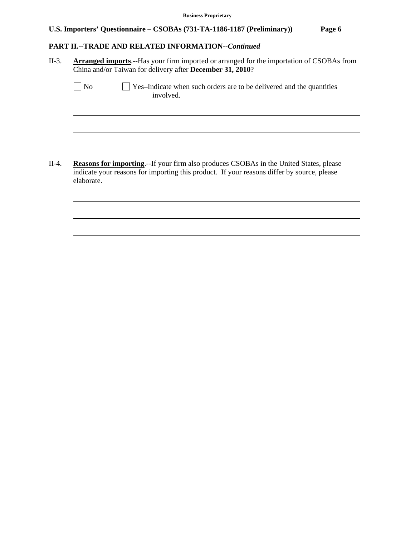# **PART II.--TRADE AND RELATED INFORMATION***--Continued*

l

 $\overline{a}$ 

 $\overline{a}$ 

l

 $\overline{a}$ 

 $\overline{a}$ 

II-3. **Arranged imports**.--Has your firm imported or arranged for the importation of CSOBAs from China and/or Taiwan for delivery after **December 31, 2010**?

| N <sub>o</sub> | $\Box$ Yes-Indicate when such orders are to be delivered and the quantities |
|----------------|-----------------------------------------------------------------------------|
|                | involved.                                                                   |

II-4. **Reasons for importing**.--If your firm also produces CSOBAs in the United States, please indicate your reasons for importing this product. If your reasons differ by source, please elaborate.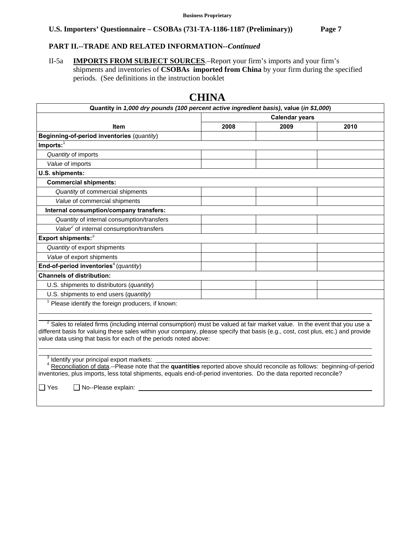# **PART II.--TRADE AND RELATED INFORMATION***--Continued*

II-5a **IMPORTS FROM SUBJECT SOURCES**.–Report your firm's imports and your firm's shipments and inventories of **CSOBAs imported from China** by your firm during the specified periods. (See definitions in the instruction booklet

|                                                                                                                                                                                                                                                                                                                                               | <b>Calendar years</b> |      |      |
|-----------------------------------------------------------------------------------------------------------------------------------------------------------------------------------------------------------------------------------------------------------------------------------------------------------------------------------------------|-----------------------|------|------|
| <b>Item</b>                                                                                                                                                                                                                                                                                                                                   | 2008                  | 2009 | 2010 |
| Beginning-of-period inventories (quantity)                                                                                                                                                                                                                                                                                                    |                       |      |      |
| $Imports:$ <sup>1</sup>                                                                                                                                                                                                                                                                                                                       |                       |      |      |
| Quantity of imports                                                                                                                                                                                                                                                                                                                           |                       |      |      |
| Value of imports                                                                                                                                                                                                                                                                                                                              |                       |      |      |
| U.S. shipments:                                                                                                                                                                                                                                                                                                                               |                       |      |      |
| <b>Commercial shipments:</b>                                                                                                                                                                                                                                                                                                                  |                       |      |      |
| Quantity of commercial shipments                                                                                                                                                                                                                                                                                                              |                       |      |      |
| Value of commercial shipments                                                                                                                                                                                                                                                                                                                 |                       |      |      |
| Internal consumption/company transfers:                                                                                                                                                                                                                                                                                                       |                       |      |      |
| Quantity of internal consumption/transfers                                                                                                                                                                                                                                                                                                    |                       |      |      |
| Value <sup>2</sup> of internal consumption/transfers                                                                                                                                                                                                                                                                                          |                       |      |      |
| Export shipments:3                                                                                                                                                                                                                                                                                                                            |                       |      |      |
| Quantity of export shipments                                                                                                                                                                                                                                                                                                                  |                       |      |      |
| Value of export shipments                                                                                                                                                                                                                                                                                                                     |                       |      |      |
| End-of-period inventories <sup>4</sup> (quantity)                                                                                                                                                                                                                                                                                             |                       |      |      |
| <b>Channels of distribution:</b>                                                                                                                                                                                                                                                                                                              |                       |      |      |
| U.S. shipments to distributors (quantity)                                                                                                                                                                                                                                                                                                     |                       |      |      |
| U.S. shipments to end users (quantity)                                                                                                                                                                                                                                                                                                        |                       |      |      |
| $1$ Please identify the foreign producers, if known:                                                                                                                                                                                                                                                                                          |                       |      |      |
|                                                                                                                                                                                                                                                                                                                                               |                       |      |      |
| <sup>2</sup> Sales to related firms (including internal consumption) must be valued at fair market value. In the event that you use a<br>different basis for valuing these sales within your company, please specify that basis (e.g., cost, cost plus, etc.) and provide<br>value data using that basis for each of the periods noted above: |                       |      |      |

# **CHINA**

 <sup>4</sup> Reconciliation of data.--Please note that the **quantities** reported above should reconcile as follows: beginning-of-period inventories, plus imports, less total shipments, equals end-of-period inventories. Do the data reported reconcile?

 $\Box$  Yes  $\Box$  No--Please explain: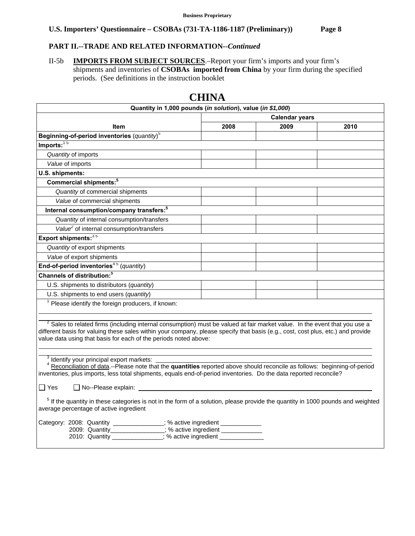# **PART II.--TRADE AND RELATED INFORMATION***--Continued*

II-5b **IMPORTS FROM SUBJECT SOURCES**.–Report your firm's imports and your firm's shipments and inventories of **CSOBAs imported from China** by your firm during the specified periods. (See definitions in the instruction booklet

|                                                                                                                                            | CHINA |                       |      |  |
|--------------------------------------------------------------------------------------------------------------------------------------------|-------|-----------------------|------|--|
| Quantity in 1,000 pounds (in solution), value (in \$1,000)                                                                                 |       |                       |      |  |
|                                                                                                                                            |       | <b>Calendar years</b> |      |  |
| <b>Item</b>                                                                                                                                | 2008  | 2009                  | 2010 |  |
| Beginning-of-period inventories $(quantity)^5$                                                                                             |       |                       |      |  |
| $Imports:$ <sup>15</sup>                                                                                                                   |       |                       |      |  |
| Quantity of imports                                                                                                                        |       |                       |      |  |
| Value of imports                                                                                                                           |       |                       |      |  |
| U.S. shipments:                                                                                                                            |       |                       |      |  |
| Commercial shipments: <sup>5</sup>                                                                                                         |       |                       |      |  |
| Quantity of commercial shipments                                                                                                           |       |                       |      |  |
| Value of commercial shipments                                                                                                              |       |                       |      |  |
| Internal consumption/company transfers: <sup>5</sup>                                                                                       |       |                       |      |  |
| Quantity of internal consumption/transfers                                                                                                 |       |                       |      |  |
| Value <sup>2</sup> of internal consumption/transfers                                                                                       |       |                       |      |  |
| Export shipments: 35                                                                                                                       |       |                       |      |  |
| Quantity of export shipments                                                                                                               |       |                       |      |  |
| Value of export shipments                                                                                                                  |       |                       |      |  |
| End-of-period inventories <sup>45</sup> (quantity)                                                                                         |       |                       |      |  |
| Channels of distribution: <sup>5</sup>                                                                                                     |       |                       |      |  |
| U.S. shipments to distributors (quantity)                                                                                                  |       |                       |      |  |
| U.S. shipments to end users (quantity)                                                                                                     |       |                       |      |  |
| $1$ Please identify the foreign producers, if known:                                                                                       |       |                       |      |  |
|                                                                                                                                            |       |                       |      |  |
| <sup>2</sup> Sales to related firms (including internal consumption) must be valued at fair market value. In the event that you use a      |       |                       |      |  |
| different basis for valuing these sales within your company, please specify that basis (e.g., cost, cost plus, etc.) and provide           |       |                       |      |  |
| value data using that basis for each of the periods noted above:                                                                           |       |                       |      |  |
|                                                                                                                                            |       |                       |      |  |
| <sup>3</sup> Identify your principal export markets:                                                                                       |       |                       |      |  |
| <sup>4</sup> Reconciliation of data.--Please note that the quantities reported above should reconcile as follows: beginning-of-period      |       |                       |      |  |
| inventories, plus imports, less total shipments, equals end-of-period inventories. Do the data reported reconcile?                         |       |                       |      |  |
| $\Box$ Yes<br>$\Box$ No--Please explain:                                                                                                   |       |                       |      |  |
| <sup>5</sup> If the quantity in these categories is not in the form of a solution, please provide the quantity in 1000 pounds and weighted |       |                       |      |  |
| average percentage of active ingredient                                                                                                    |       |                       |      |  |
| Category: 2008: Quantity _____________; % active ingredient _________                                                                      |       |                       |      |  |
| 2009: Quantity_______________; % active ingredient __________                                                                              |       |                       |      |  |
| 2010: Quantity ____________; % active ingredient _________                                                                                 |       |                       |      |  |
|                                                                                                                                            |       |                       |      |  |

# **CHINA**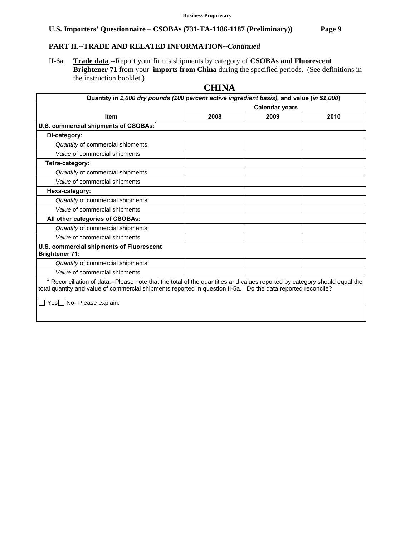# **PART II.--TRADE AND RELATED INFORMATION***--Continued*

II-6a. **Trade data**.--Report your firm's shipments by category of **CSOBAs and Fluorescent Brightener 71** from your **imports from China** during the specified periods. (See definitions in the instruction booklet.)

|                                                                                                                                                                                                                                                                                   | спита                 |      |      |  |  |  |
|-----------------------------------------------------------------------------------------------------------------------------------------------------------------------------------------------------------------------------------------------------------------------------------|-----------------------|------|------|--|--|--|
| Quantity in 1,000 dry pounds (100 percent active ingredient basis), and value (in \$1,000)                                                                                                                                                                                        |                       |      |      |  |  |  |
|                                                                                                                                                                                                                                                                                   | <b>Calendar years</b> |      |      |  |  |  |
| <b>Item</b>                                                                                                                                                                                                                                                                       | 2008                  | 2009 | 2010 |  |  |  |
| U.S. commercial shipments of CSOBAs: <sup>1</sup>                                                                                                                                                                                                                                 |                       |      |      |  |  |  |
| Di-category:                                                                                                                                                                                                                                                                      |                       |      |      |  |  |  |
| Quantity of commercial shipments                                                                                                                                                                                                                                                  |                       |      |      |  |  |  |
| Value of commercial shipments                                                                                                                                                                                                                                                     |                       |      |      |  |  |  |
| Tetra-category:                                                                                                                                                                                                                                                                   |                       |      |      |  |  |  |
| Quantity of commercial shipments                                                                                                                                                                                                                                                  |                       |      |      |  |  |  |
| Value of commercial shipments                                                                                                                                                                                                                                                     |                       |      |      |  |  |  |
| Hexa-category:                                                                                                                                                                                                                                                                    |                       |      |      |  |  |  |
| Quantity of commercial shipments                                                                                                                                                                                                                                                  |                       |      |      |  |  |  |
| Value of commercial shipments                                                                                                                                                                                                                                                     |                       |      |      |  |  |  |
| All other categories of CSOBAs:                                                                                                                                                                                                                                                   |                       |      |      |  |  |  |
| Quantity of commercial shipments                                                                                                                                                                                                                                                  |                       |      |      |  |  |  |
| Value of commercial shipments                                                                                                                                                                                                                                                     |                       |      |      |  |  |  |
| U.S. commercial shipments of Fluorescent<br><b>Brightener 71:</b>                                                                                                                                                                                                                 |                       |      |      |  |  |  |
| Quantity of commercial shipments                                                                                                                                                                                                                                                  |                       |      |      |  |  |  |
| Value of commercial shipments                                                                                                                                                                                                                                                     |                       |      |      |  |  |  |
| <sup>1</sup> Reconciliation of data.--Please note that the total of the quantities and values reported by category should equal the<br>total quantity and value of commercial shipments reported in question II-5a. Do the data reported reconcile?<br>□ Yes□ No--Please explain: |                       |      |      |  |  |  |
|                                                                                                                                                                                                                                                                                   |                       |      |      |  |  |  |

# **CHINA**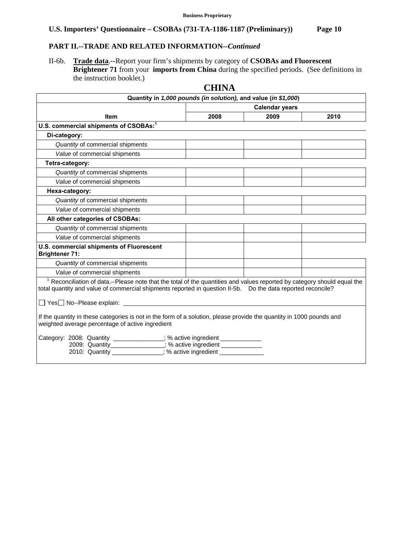# **PART II.--TRADE AND RELATED INFORMATION***--Continued*

II-6b. **Trade data**.--Report your firm's shipments by category of **CSOBAs and Fluorescent Brightener 71** from your **imports from China** during the specified periods. (See definitions in the instruction booklet.)

|                                                                                                                                                                                                                                                                                                                                                                                                                                                                                      | СППУА                 | Quantity in 1,000 pounds (in solution), and value (in \$1,000) |      |
|--------------------------------------------------------------------------------------------------------------------------------------------------------------------------------------------------------------------------------------------------------------------------------------------------------------------------------------------------------------------------------------------------------------------------------------------------------------------------------------|-----------------------|----------------------------------------------------------------|------|
|                                                                                                                                                                                                                                                                                                                                                                                                                                                                                      | <b>Calendar years</b> |                                                                |      |
| <b>Item</b>                                                                                                                                                                                                                                                                                                                                                                                                                                                                          | 2008                  | 2009                                                           | 2010 |
| U.S. commercial shipments of CSOBAs: <sup>1</sup>                                                                                                                                                                                                                                                                                                                                                                                                                                    |                       |                                                                |      |
| Di-category:                                                                                                                                                                                                                                                                                                                                                                                                                                                                         |                       |                                                                |      |
| Quantity of commercial shipments                                                                                                                                                                                                                                                                                                                                                                                                                                                     |                       |                                                                |      |
| Value of commercial shipments                                                                                                                                                                                                                                                                                                                                                                                                                                                        |                       |                                                                |      |
| Tetra-category:                                                                                                                                                                                                                                                                                                                                                                                                                                                                      |                       |                                                                |      |
| Quantity of commercial shipments                                                                                                                                                                                                                                                                                                                                                                                                                                                     |                       |                                                                |      |
| Value of commercial shipments                                                                                                                                                                                                                                                                                                                                                                                                                                                        |                       |                                                                |      |
| Hexa-category:                                                                                                                                                                                                                                                                                                                                                                                                                                                                       |                       |                                                                |      |
| Quantity of commercial shipments                                                                                                                                                                                                                                                                                                                                                                                                                                                     |                       |                                                                |      |
| Value of commercial shipments                                                                                                                                                                                                                                                                                                                                                                                                                                                        |                       |                                                                |      |
| All other categories of CSOBAs:                                                                                                                                                                                                                                                                                                                                                                                                                                                      |                       |                                                                |      |
| Quantity of commercial shipments                                                                                                                                                                                                                                                                                                                                                                                                                                                     |                       |                                                                |      |
| Value of commercial shipments                                                                                                                                                                                                                                                                                                                                                                                                                                                        |                       |                                                                |      |
| U.S. commercial shipments of Fluorescent<br><b>Brightener 71:</b>                                                                                                                                                                                                                                                                                                                                                                                                                    |                       |                                                                |      |
| Quantity of commercial shipments                                                                                                                                                                                                                                                                                                                                                                                                                                                     |                       |                                                                |      |
| Value of commercial shipments                                                                                                                                                                                                                                                                                                                                                                                                                                                        |                       |                                                                |      |
| <sup>1</sup> Reconciliation of data.--Please note that the total of the quantities and values reported by category should equal the<br>total quantity and value of commercial shipments reported in question II-5b. Do the data reported reconcile?<br>□ Yes□ No--Please explain: Version of the Second Second Second Second Second Second Second Second Second Second Second Second Second Second Second Second Second Second Second Second Second Second Second Second Second Seco |                       |                                                                |      |
| If the quantity in these categories is not in the form of a solution, please provide the quantity in 1000 pounds and<br>weighted average percentage of active ingredient                                                                                                                                                                                                                                                                                                             |                       |                                                                |      |
| Category: 2008: Quantity ______________; % active ingredient ____________<br>2009: Quantity______________; % active ingredient _____________<br>2010: Quantity ____________; % active ingredient __________                                                                                                                                                                                                                                                                          |                       |                                                                |      |

# **CHINA**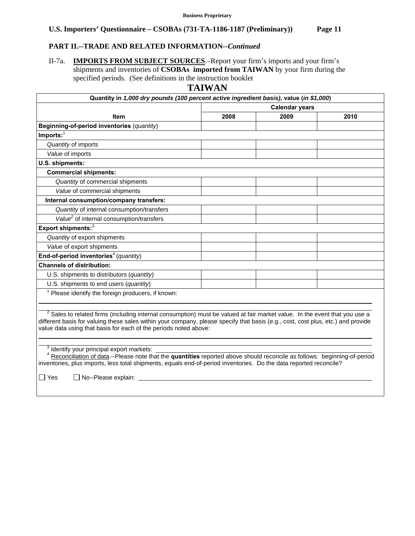# **PART II.--TRADE AND RELATED INFORMATION***--Continued*

II-7a. **IMPORTS FROM SUBJECT SOURCES**.–Report your firm's imports and your firm's shipments and inventories of **CSOBAs imported from TAIWAN** by your firm during the specified periods. (See definitions in the instruction booklet

**TAIWAN** 

| Quantity in 1,000 dry pounds (100 percent active ingredient basis), value (in \$1,000)                                                                                                                                                                                                                                               |                       |      |      |
|--------------------------------------------------------------------------------------------------------------------------------------------------------------------------------------------------------------------------------------------------------------------------------------------------------------------------------------|-----------------------|------|------|
|                                                                                                                                                                                                                                                                                                                                      | <b>Calendar years</b> |      |      |
| <b>Item</b>                                                                                                                                                                                                                                                                                                                          | 2008                  | 2009 | 2010 |
| Beginning-of-period inventories (quantity)                                                                                                                                                                                                                                                                                           |                       |      |      |
| $Imports:$ <sup>1</sup>                                                                                                                                                                                                                                                                                                              |                       |      |      |
| Quantity of imports                                                                                                                                                                                                                                                                                                                  |                       |      |      |
| Value of imports                                                                                                                                                                                                                                                                                                                     |                       |      |      |
| U.S. shipments:                                                                                                                                                                                                                                                                                                                      |                       |      |      |
| <b>Commercial shipments:</b>                                                                                                                                                                                                                                                                                                         |                       |      |      |
| Quantity of commercial shipments                                                                                                                                                                                                                                                                                                     |                       |      |      |
| Value of commercial shipments                                                                                                                                                                                                                                                                                                        |                       |      |      |
| Internal consumption/company transfers:                                                                                                                                                                                                                                                                                              |                       |      |      |
| Quantity of internal consumption/transfers                                                                                                                                                                                                                                                                                           |                       |      |      |
| Value <sup>2</sup> of internal consumption/transfers                                                                                                                                                                                                                                                                                 |                       |      |      |
| Export shipments: <sup>3</sup>                                                                                                                                                                                                                                                                                                       |                       |      |      |
| Quantity of export shipments                                                                                                                                                                                                                                                                                                         |                       |      |      |
| Value of export shipments                                                                                                                                                                                                                                                                                                            |                       |      |      |
| End-of-period inventories <sup>4</sup> (quantity)                                                                                                                                                                                                                                                                                    |                       |      |      |
| <b>Channels of distribution:</b>                                                                                                                                                                                                                                                                                                     |                       |      |      |
| U.S. shipments to distributors (quantity)                                                                                                                                                                                                                                                                                            |                       |      |      |
| U.S. shipments to end users (quantity)                                                                                                                                                                                                                                                                                               |                       |      |      |
| <sup>1</sup> Please identify the foreign producers, if known:                                                                                                                                                                                                                                                                        |                       |      |      |
|                                                                                                                                                                                                                                                                                                                                      |                       |      |      |
| $2$ Sales to related firms (including internal consumption) must be valued at fair market value. In the event that you use a<br>different basis for valuing these sales within your company, please specify that basis (e.g., cost, cost plus, etc.) and provide<br>value data using that basis for each of the periods noted above: |                       |      |      |
| Identify your principal export markets:<br><sup>4</sup> Reconciliation of data.--Please note that the quantities reported above should reconcile as follows: beginning-of-period<br>inventories, plus imports, less total shipments, equals end-of-period inventories. Do the data reported reconcile?                               |                       |      |      |

Yes No--Please explain: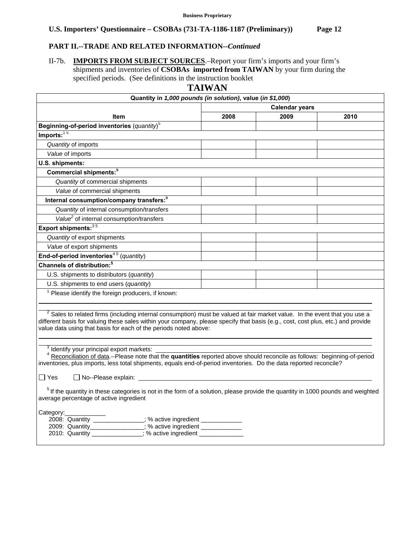# **PART II.--TRADE AND RELATED INFORMATION***--Continued*

2010: Quantity \_\_\_\_\_\_\_\_\_\_\_\_\_\_; % active ingredient \_\_\_\_\_\_\_\_\_\_\_\_\_\_

II-7b. **IMPORTS FROM SUBJECT SOURCES**.–Report your firm's imports and your firm's shipments and inventories of **CSOBAs imported from TAIWAN** by your firm during the specified periods. (See definitions in the instruction booklet

**TAIWAN** 

| Quantity in 1,000 pounds (in solution), value (in \$1,000)                                                                                                                                                                                                                                                                                    | 1711 VV 711           |      |      |  |  |  |
|-----------------------------------------------------------------------------------------------------------------------------------------------------------------------------------------------------------------------------------------------------------------------------------------------------------------------------------------------|-----------------------|------|------|--|--|--|
|                                                                                                                                                                                                                                                                                                                                               | <b>Calendar years</b> |      |      |  |  |  |
| Item                                                                                                                                                                                                                                                                                                                                          | 2008                  | 2009 | 2010 |  |  |  |
| Beginning-of-period inventories (quantity) <sup>5</sup>                                                                                                                                                                                                                                                                                       |                       |      |      |  |  |  |
| Imports: $15$                                                                                                                                                                                                                                                                                                                                 |                       |      |      |  |  |  |
| Quantity of imports                                                                                                                                                                                                                                                                                                                           |                       |      |      |  |  |  |
| Value of imports                                                                                                                                                                                                                                                                                                                              |                       |      |      |  |  |  |
| U.S. shipments:                                                                                                                                                                                                                                                                                                                               |                       |      |      |  |  |  |
| Commercial shipments: <sup>5</sup>                                                                                                                                                                                                                                                                                                            |                       |      |      |  |  |  |
| Quantity of commercial shipments                                                                                                                                                                                                                                                                                                              |                       |      |      |  |  |  |
| Value of commercial shipments                                                                                                                                                                                                                                                                                                                 |                       |      |      |  |  |  |
| Internal consumption/company transfers: <sup>5</sup>                                                                                                                                                                                                                                                                                          |                       |      |      |  |  |  |
| Quantity of internal consumption/transfers                                                                                                                                                                                                                                                                                                    |                       |      |      |  |  |  |
| Value <sup>2</sup> of internal consumption/transfers                                                                                                                                                                                                                                                                                          |                       |      |      |  |  |  |
| Export shipments: 35                                                                                                                                                                                                                                                                                                                          |                       |      |      |  |  |  |
| Quantity of export shipments                                                                                                                                                                                                                                                                                                                  |                       |      |      |  |  |  |
| Value of export shipments                                                                                                                                                                                                                                                                                                                     |                       |      |      |  |  |  |
| End-of-period inventories <sup>45</sup> (quantity)                                                                                                                                                                                                                                                                                            |                       |      |      |  |  |  |
| Channels of distribution: <sup>5</sup>                                                                                                                                                                                                                                                                                                        |                       |      |      |  |  |  |
| U.S. shipments to distributors (quantity)                                                                                                                                                                                                                                                                                                     |                       |      |      |  |  |  |
| U.S. shipments to end users (quantity)                                                                                                                                                                                                                                                                                                        |                       |      |      |  |  |  |
| <sup>1</sup> Please identify the foreign producers, if known:                                                                                                                                                                                                                                                                                 |                       |      |      |  |  |  |
| <sup>2</sup> Sales to related firms (including internal consumption) must be valued at fair market value. In the event that you use a<br>different basis for valuing these sales within your company, please specify that basis (e.g., cost, cost plus, etc.) and provide<br>value data using that basis for each of the periods noted above: |                       |      |      |  |  |  |
| <sup>3</sup> Identify your principal export markets:<br>Reconciliation of data.--Please note that the quantities reported above should reconcile as follows: beginning-of-period<br>inventories, plus imports, less total shipments, equals end-of-period inventories. Do the data reported reconcile?<br>$\Box$ Yes<br>□ No--Please explain: |                       |      |      |  |  |  |
| <sup>5</sup> If the quantity in these categories is not in the form of a solution, please provide the quantity in 1000 pounds and weighted<br>average percentage of active ingredient                                                                                                                                                         |                       |      |      |  |  |  |
| Category:<br>2008: Quantity _____________; % active ingredient<br>; % active ingredient<br>2009: Quantity                                                                                                                                                                                                                                     |                       |      |      |  |  |  |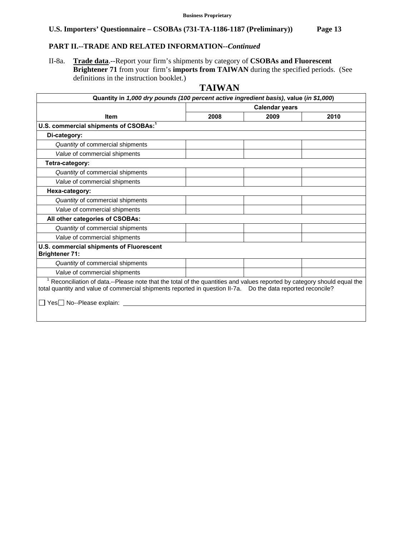# **PART II.--TRADE AND RELATED INFORMATION***--Continued*

II-8a. **Trade data**.--Report your firm's shipments by category of **CSOBAs and Fluorescent Brightener 71** from your firm's **imports from TAIWAN** during the specified periods. (See definitions in the instruction booklet.)

# **TAIWAN**

| Quantity in 1,000 dry pounds (100 percent active ingredient basis), value (in \$1,000)                                                                                                                                                                                    |                       |      |      |  |  |  |  |
|---------------------------------------------------------------------------------------------------------------------------------------------------------------------------------------------------------------------------------------------------------------------------|-----------------------|------|------|--|--|--|--|
|                                                                                                                                                                                                                                                                           | <b>Calendar years</b> |      |      |  |  |  |  |
| <b>Item</b>                                                                                                                                                                                                                                                               | 2008                  | 2009 | 2010 |  |  |  |  |
| U.S. commercial shipments of CSOBAs: <sup>1</sup>                                                                                                                                                                                                                         |                       |      |      |  |  |  |  |
| Di-category:                                                                                                                                                                                                                                                              |                       |      |      |  |  |  |  |
| Quantity of commercial shipments                                                                                                                                                                                                                                          |                       |      |      |  |  |  |  |
| Value of commercial shipments                                                                                                                                                                                                                                             |                       |      |      |  |  |  |  |
| Tetra-category:                                                                                                                                                                                                                                                           |                       |      |      |  |  |  |  |
| Quantity of commercial shipments                                                                                                                                                                                                                                          |                       |      |      |  |  |  |  |
| Value of commercial shipments                                                                                                                                                                                                                                             |                       |      |      |  |  |  |  |
| Hexa-category:                                                                                                                                                                                                                                                            |                       |      |      |  |  |  |  |
| Quantity of commercial shipments                                                                                                                                                                                                                                          |                       |      |      |  |  |  |  |
| Value of commercial shipments                                                                                                                                                                                                                                             |                       |      |      |  |  |  |  |
| All other categories of CSOBAs:                                                                                                                                                                                                                                           |                       |      |      |  |  |  |  |
| Quantity of commercial shipments                                                                                                                                                                                                                                          |                       |      |      |  |  |  |  |
| Value of commercial shipments                                                                                                                                                                                                                                             |                       |      |      |  |  |  |  |
| U.S. commercial shipments of Fluorescent<br><b>Brightener 71:</b>                                                                                                                                                                                                         |                       |      |      |  |  |  |  |
| Quantity of commercial shipments                                                                                                                                                                                                                                          |                       |      |      |  |  |  |  |
| Value of commercial shipments                                                                                                                                                                                                                                             |                       |      |      |  |  |  |  |
| $1$ Reconciliation of data.--Please note that the total of the quantities and values reported by category should equal the<br>total quantity and value of commercial shipments reported in question II-7a.  Do the data reported reconcile?<br>□ Yes□ No--Please explain: |                       |      |      |  |  |  |  |
|                                                                                                                                                                                                                                                                           |                       |      |      |  |  |  |  |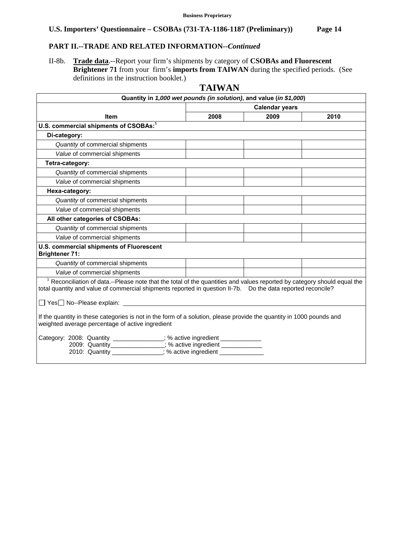# **PART II.--TRADE AND RELATED INFORMATION***--Continued*

II-8b. **Trade data**.--Report your firm's shipments by category of **CSOBAs and Fluorescent Brightener 71** from your firm's **imports from TAIWAN** during the specified periods. (See definitions in the instruction booklet.)

|                                                                                                                                                                                                                                                                                 | 1 A I VY A IN         |      |      |  |  |  |
|---------------------------------------------------------------------------------------------------------------------------------------------------------------------------------------------------------------------------------------------------------------------------------|-----------------------|------|------|--|--|--|
| Quantity in 1,000 wet pounds (in solution), and value (in \$1,000)                                                                                                                                                                                                              |                       |      |      |  |  |  |
|                                                                                                                                                                                                                                                                                 | <b>Calendar years</b> |      |      |  |  |  |
| <b>Item</b>                                                                                                                                                                                                                                                                     | 2008                  | 2009 | 2010 |  |  |  |
| U.S. commercial shipments of CSOBAs: <sup>1</sup>                                                                                                                                                                                                                               |                       |      |      |  |  |  |
| Di-category:                                                                                                                                                                                                                                                                    |                       |      |      |  |  |  |
| Quantity of commercial shipments                                                                                                                                                                                                                                                |                       |      |      |  |  |  |
| Value of commercial shipments                                                                                                                                                                                                                                                   |                       |      |      |  |  |  |
| Tetra-category:                                                                                                                                                                                                                                                                 |                       |      |      |  |  |  |
| Quantity of commercial shipments                                                                                                                                                                                                                                                |                       |      |      |  |  |  |
| Value of commercial shipments                                                                                                                                                                                                                                                   |                       |      |      |  |  |  |
| Hexa-category:                                                                                                                                                                                                                                                                  |                       |      |      |  |  |  |
| Quantity of commercial shipments                                                                                                                                                                                                                                                |                       |      |      |  |  |  |
| Value of commercial shipments                                                                                                                                                                                                                                                   |                       |      |      |  |  |  |
| All other categories of CSOBAs:                                                                                                                                                                                                                                                 |                       |      |      |  |  |  |
| Quantity of commercial shipments                                                                                                                                                                                                                                                |                       |      |      |  |  |  |
| Value of commercial shipments                                                                                                                                                                                                                                                   |                       |      |      |  |  |  |
| U.S. commercial shipments of Fluorescent<br><b>Brightener 71:</b>                                                                                                                                                                                                               |                       |      |      |  |  |  |
| Quantity of commercial shipments                                                                                                                                                                                                                                                |                       |      |      |  |  |  |
| Value of commercial shipments                                                                                                                                                                                                                                                   |                       |      |      |  |  |  |
| Reconciliation of data.--Please note that the total of the quantities and values reported by category should equal the<br>total quantity and value of commercial shipments reported in question II-7b. Do the data reported reconcile?<br>$\Box$ Yes $\Box$ No--Please explain: |                       |      |      |  |  |  |
| If the quantity in these categories is not in the form of a solution, please provide the quantity in 1000 pounds and<br>weighted average percentage of active ingredient<br>Category: 2008: Quantity _____________; % active ingredient _____________                           |                       |      |      |  |  |  |
| 2009: Quantity_______________; % active ingredient _____________<br>2010: Quantity ____________; % active ingredient __________                                                                                                                                                 |                       |      |      |  |  |  |

# **TAIWAN**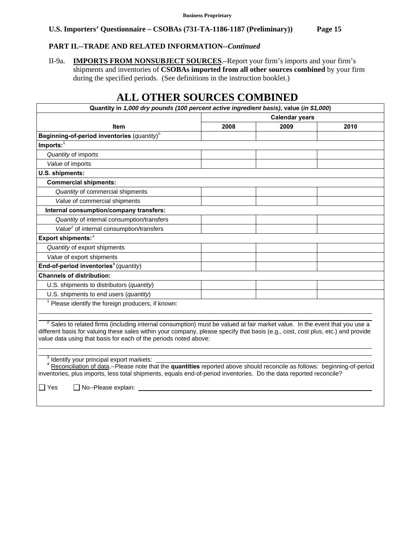# **PART II.--TRADE AND RELATED INFORMATION***--Continued*

II-9a. **IMPORTS FROM NONSUBJECT SOURCES**.–Report your firm's imports and your firm's shipments and inventories of **CSOBAs imported from all other sources combined** by your firm during the specified periods. (See definitions in the instruction booklet.)

# **ALL OTHER SOURCES COMBINED**

| Quantity in 1,000 dry pounds (100 percent active ingredient basis), value (in \$1,000)                                                |                       |      |      |  |  |  |
|---------------------------------------------------------------------------------------------------------------------------------------|-----------------------|------|------|--|--|--|
|                                                                                                                                       | <b>Calendar years</b> |      |      |  |  |  |
| <b>Item</b>                                                                                                                           | 2008                  | 2009 | 2010 |  |  |  |
| Beginning-of-period inventories $(quantity)^5$                                                                                        |                       |      |      |  |  |  |
| $Imports:$ <sup>1</sup>                                                                                                               |                       |      |      |  |  |  |
| Quantity of imports                                                                                                                   |                       |      |      |  |  |  |
| Value of imports                                                                                                                      |                       |      |      |  |  |  |
| U.S. shipments:                                                                                                                       |                       |      |      |  |  |  |
| <b>Commercial shipments:</b>                                                                                                          |                       |      |      |  |  |  |
| Quantity of commercial shipments                                                                                                      |                       |      |      |  |  |  |
| Value of commercial shipments                                                                                                         |                       |      |      |  |  |  |
| Internal consumption/company transfers:                                                                                               |                       |      |      |  |  |  |
| Quantity of internal consumption/transfers                                                                                            |                       |      |      |  |  |  |
| Value <sup>2</sup> of internal consumption/transfers                                                                                  |                       |      |      |  |  |  |
| Export shipments:3                                                                                                                    |                       |      |      |  |  |  |
| Quantity of export shipments                                                                                                          |                       |      |      |  |  |  |
| Value of export shipments                                                                                                             |                       |      |      |  |  |  |
| End-of-period inventories <sup>4</sup> (quantity)                                                                                     |                       |      |      |  |  |  |
| <b>Channels of distribution:</b>                                                                                                      |                       |      |      |  |  |  |
| U.S. shipments to distributors (quantity)                                                                                             |                       |      |      |  |  |  |
| U.S. shipments to end users (quantity)                                                                                                |                       |      |      |  |  |  |
| <sup>1</sup> Please identify the foreign producers, if known:                                                                         |                       |      |      |  |  |  |
| <sup>2</sup> Sales to related firms (including internal consumption) must be valued at fair market value. In the event that you use a |                       |      |      |  |  |  |
| different basis for valuing these sales within your company, please specify that basis (e.g., cost, cost plus, etc.) and provide      |                       |      |      |  |  |  |
| value data using that basis for each of the periods noted above:                                                                      |                       |      |      |  |  |  |
|                                                                                                                                       |                       |      |      |  |  |  |
| Identify your principal export markets:                                                                                               |                       |      |      |  |  |  |
| <sup>4</sup> Reconciliation of data.--Please note that the quantities reported above should reconcile as follows: beginning-of-period |                       |      |      |  |  |  |
| inventories, plus imports, less total shipments, equals end-of-period inventories. Do the data reported reconcile?                    |                       |      |      |  |  |  |

 $\Box$  Yes  $\Box$  No--Please explain: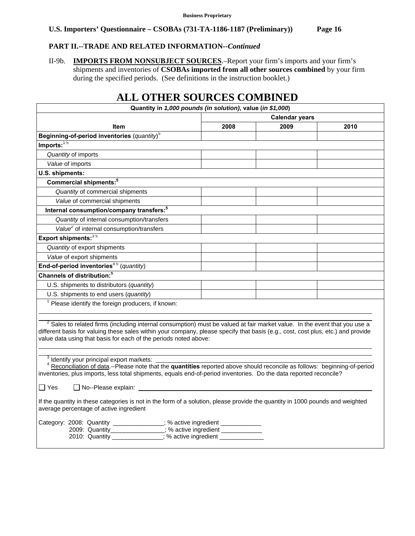# **PART II.--TRADE AND RELATED INFORMATION***--Continued*

II-9b. **IMPORTS FROM NONSUBJECT SOURCES**.–Report your firm's imports and your firm's shipments and inventories of **CSOBAs imported from all other sources combined** by your firm during the specified periods. (See definitions in the instruction booklet.)

# **ALL OTHER SOURCES COMBINED**

| Quantity in 1,000 pounds (in solution), value (in \$1,000)                                                                                                                                                                                                  |                       |      |      |  |  |  |
|-------------------------------------------------------------------------------------------------------------------------------------------------------------------------------------------------------------------------------------------------------------|-----------------------|------|------|--|--|--|
|                                                                                                                                                                                                                                                             | <b>Calendar years</b> |      |      |  |  |  |
| <b>Item</b>                                                                                                                                                                                                                                                 | 2008                  | 2009 | 2010 |  |  |  |
| Beginning-of-period inventories $(quantity)^5$                                                                                                                                                                                                              |                       |      |      |  |  |  |
| $Imports:$ <sup>15</sup>                                                                                                                                                                                                                                    |                       |      |      |  |  |  |
| Quantity of imports                                                                                                                                                                                                                                         |                       |      |      |  |  |  |
| Value of imports                                                                                                                                                                                                                                            |                       |      |      |  |  |  |
| U.S. shipments:                                                                                                                                                                                                                                             |                       |      |      |  |  |  |
| Commercial shipments: <sup>5</sup>                                                                                                                                                                                                                          |                       |      |      |  |  |  |
| Quantity of commercial shipments                                                                                                                                                                                                                            |                       |      |      |  |  |  |
| Value of commercial shipments                                                                                                                                                                                                                               |                       |      |      |  |  |  |
| Internal consumption/company transfers: <sup>5</sup>                                                                                                                                                                                                        |                       |      |      |  |  |  |
| Quantity of internal consumption/transfers                                                                                                                                                                                                                  |                       |      |      |  |  |  |
| Value <sup>2</sup> of internal consumption/transfers                                                                                                                                                                                                        |                       |      |      |  |  |  |
| Export shipments: 35                                                                                                                                                                                                                                        |                       |      |      |  |  |  |
| Quantity of export shipments                                                                                                                                                                                                                                |                       |      |      |  |  |  |
| Value of export shipments                                                                                                                                                                                                                                   |                       |      |      |  |  |  |
| End-of-period inventories <sup>45</sup> (quantity)                                                                                                                                                                                                          |                       |      |      |  |  |  |
| Channels of distribution: <sup>5</sup>                                                                                                                                                                                                                      |                       |      |      |  |  |  |
| U.S. shipments to distributors (quantity)                                                                                                                                                                                                                   |                       |      |      |  |  |  |
| U.S. shipments to end users (quantity)                                                                                                                                                                                                                      |                       |      |      |  |  |  |
| <sup>1</sup> Please identify the foreign producers, if known:                                                                                                                                                                                               |                       |      |      |  |  |  |
|                                                                                                                                                                                                                                                             |                       |      |      |  |  |  |
| <sup>2</sup> Sales to related firms (including internal consumption) must be valued at fair market value. In the event that you use a                                                                                                                       |                       |      |      |  |  |  |
| different basis for valuing these sales within your company, please specify that basis (e.g., cost, cost plus, etc.) and provide                                                                                                                            |                       |      |      |  |  |  |
| value data using that basis for each of the periods noted above:                                                                                                                                                                                            |                       |      |      |  |  |  |
|                                                                                                                                                                                                                                                             |                       |      |      |  |  |  |
| <sup>3</sup> Identify your principal export markets:                                                                                                                                                                                                        |                       |      |      |  |  |  |
| <sup>4</sup> Reconciliation of data.--Please note that the quantities reported above should reconcile as follows: beginning-of-period<br>inventories, plus imports, less total shipments, equals end-of-period inventories. Do the data reported reconcile? |                       |      |      |  |  |  |
|                                                                                                                                                                                                                                                             |                       |      |      |  |  |  |
| $\Box$ Yes<br>$\Box$ No--Please explain:                                                                                                                                                                                                                    |                       |      |      |  |  |  |
| If the quantity in these categories is not in the form of a solution, please provide the quantity in 1000 pounds and weighted<br>average percentage of active ingredient                                                                                    |                       |      |      |  |  |  |
| Category: 2008: Quantity _____________; % active ingredient ___________                                                                                                                                                                                     |                       |      |      |  |  |  |
| 2009: Quantity<br>2010: Quantity _______________; % active ingredient _____________<br>2010: Quantity ______________; % active ingredient ___________                                                                                                       |                       |      |      |  |  |  |
|                                                                                                                                                                                                                                                             |                       |      |      |  |  |  |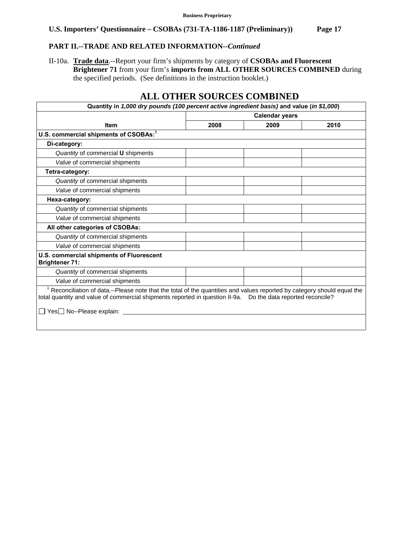# **PART II.--TRADE AND RELATED INFORMATION***--Continued*

II-10a. **Trade data**.--Report your firm's shipments by category of **CSOBAs and Fluorescent Brightener 71** from your firm's **imports from ALL OTHER SOURCES COMBINED** during the specified periods. (See definitions in the instruction booklet.)

# **ALL OTHER SOURCES COMBINED**

| Quantity in 1,000 dry pounds (100 percent active ingredient basis) and value (in \$1,000)                                                                                                                                                                                          |                       |      |      |  |  |
|------------------------------------------------------------------------------------------------------------------------------------------------------------------------------------------------------------------------------------------------------------------------------------|-----------------------|------|------|--|--|
|                                                                                                                                                                                                                                                                                    | <b>Calendar years</b> |      |      |  |  |
| <b>Item</b>                                                                                                                                                                                                                                                                        | 2008                  | 2009 | 2010 |  |  |
| U.S. commercial shipments of CSOBAs: <sup>1</sup>                                                                                                                                                                                                                                  |                       |      |      |  |  |
| Di-category:                                                                                                                                                                                                                                                                       |                       |      |      |  |  |
| Quantity of commercial U shipments                                                                                                                                                                                                                                                 |                       |      |      |  |  |
| Value of commercial shipments                                                                                                                                                                                                                                                      |                       |      |      |  |  |
| Tetra-category:                                                                                                                                                                                                                                                                    |                       |      |      |  |  |
| Quantity of commercial shipments                                                                                                                                                                                                                                                   |                       |      |      |  |  |
| Value of commercial shipments                                                                                                                                                                                                                                                      |                       |      |      |  |  |
| Hexa-category:                                                                                                                                                                                                                                                                     |                       |      |      |  |  |
| Quantity of commercial shipments                                                                                                                                                                                                                                                   |                       |      |      |  |  |
| Value of commercial shipments                                                                                                                                                                                                                                                      |                       |      |      |  |  |
| All other categories of CSOBAs:                                                                                                                                                                                                                                                    |                       |      |      |  |  |
| Quantity of commercial shipments                                                                                                                                                                                                                                                   |                       |      |      |  |  |
| Value of commercial shipments                                                                                                                                                                                                                                                      |                       |      |      |  |  |
| U.S. commercial shipments of Fluorescent<br><b>Brightener 71:</b>                                                                                                                                                                                                                  |                       |      |      |  |  |
| Quantity of commercial shipments                                                                                                                                                                                                                                                   |                       |      |      |  |  |
| Value of commercial shipments                                                                                                                                                                                                                                                      |                       |      |      |  |  |
| <sup>1</sup> Reconciliation of data.--Please note that the total of the quantities and values reported by category should equal the<br>total quantity and value of commercial shipments reported in question II-9a.  Do the data reported reconcile?<br>□ Yes□ No--Please explain: |                       |      |      |  |  |
|                                                                                                                                                                                                                                                                                    |                       |      |      |  |  |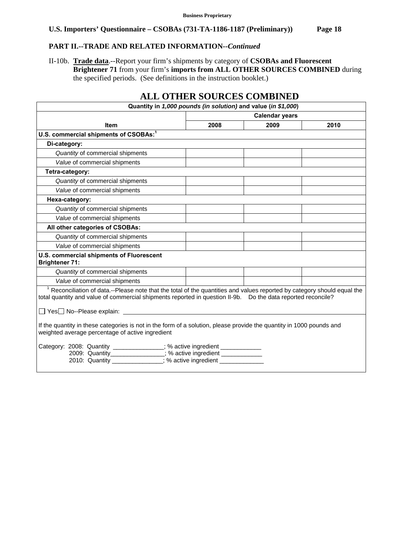# **PART II.--TRADE AND RELATED INFORMATION***--Continued*

II-10b. **Trade data**.--Report your firm's shipments by category of **CSOBAs and Fluorescent Brightener 71** from your firm's **imports from ALL OTHER SOURCES COMBINED** during the specified periods. (See definitions in the instruction booklet.)

|                                                                                                                                                                                                                                                                                                                                                                       |                       | ALL OTHER SOURCES COMBINED                                    |      |  |  |  |  |  |
|-----------------------------------------------------------------------------------------------------------------------------------------------------------------------------------------------------------------------------------------------------------------------------------------------------------------------------------------------------------------------|-----------------------|---------------------------------------------------------------|------|--|--|--|--|--|
|                                                                                                                                                                                                                                                                                                                                                                       |                       | Quantity in 1,000 pounds (in solution) and value (in \$1,000) |      |  |  |  |  |  |
|                                                                                                                                                                                                                                                                                                                                                                       | <b>Calendar years</b> |                                                               |      |  |  |  |  |  |
| <b>Item</b>                                                                                                                                                                                                                                                                                                                                                           | 2008                  | 2009                                                          | 2010 |  |  |  |  |  |
| U.S. commercial shipments of CSOBAs: <sup>1</sup>                                                                                                                                                                                                                                                                                                                     |                       |                                                               |      |  |  |  |  |  |
| Di-category:                                                                                                                                                                                                                                                                                                                                                          |                       |                                                               |      |  |  |  |  |  |
| Quantity of commercial shipments                                                                                                                                                                                                                                                                                                                                      |                       |                                                               |      |  |  |  |  |  |
| Value of commercial shipments                                                                                                                                                                                                                                                                                                                                         |                       |                                                               |      |  |  |  |  |  |
| Tetra-category:                                                                                                                                                                                                                                                                                                                                                       |                       |                                                               |      |  |  |  |  |  |
| Quantity of commercial shipments                                                                                                                                                                                                                                                                                                                                      |                       |                                                               |      |  |  |  |  |  |
| Value of commercial shipments                                                                                                                                                                                                                                                                                                                                         |                       |                                                               |      |  |  |  |  |  |
| Hexa-category:                                                                                                                                                                                                                                                                                                                                                        |                       |                                                               |      |  |  |  |  |  |
| Quantity of commercial shipments                                                                                                                                                                                                                                                                                                                                      |                       |                                                               |      |  |  |  |  |  |
| Value of commercial shipments                                                                                                                                                                                                                                                                                                                                         |                       |                                                               |      |  |  |  |  |  |
| All other categories of CSOBAs:                                                                                                                                                                                                                                                                                                                                       |                       |                                                               |      |  |  |  |  |  |
| Quantity of commercial shipments                                                                                                                                                                                                                                                                                                                                      |                       |                                                               |      |  |  |  |  |  |
| Value of commercial shipments                                                                                                                                                                                                                                                                                                                                         |                       |                                                               |      |  |  |  |  |  |
| U.S. commercial shipments of Fluorescent<br><b>Brightener 71:</b>                                                                                                                                                                                                                                                                                                     |                       |                                                               |      |  |  |  |  |  |
| Quantity of commercial shipments                                                                                                                                                                                                                                                                                                                                      |                       |                                                               |      |  |  |  |  |  |
| Value of commercial shipments                                                                                                                                                                                                                                                                                                                                         |                       |                                                               |      |  |  |  |  |  |
| <sup>1</sup> Reconciliation of data.--Please note that the total of the quantities and values reported by category should equal the<br>total quantity and value of commercial shipments reported in question II-9b. Do the data reported reconcile?<br>□ Yes□ No--Please explain: _________                                                                           |                       |                                                               |      |  |  |  |  |  |
| If the quantity in these categories is not in the form of a solution, please provide the quantity in 1000 pounds and<br>weighted average percentage of active ingredient<br>Category: 2008: Quantity _____________; % active ingredient ____________<br>2009: Quantity_______________; % active ingredient _____________<br>2010: Quantity (300); % active ingredient |                       |                                                               |      |  |  |  |  |  |

# **ALL OTHER SOURCES COMBINED**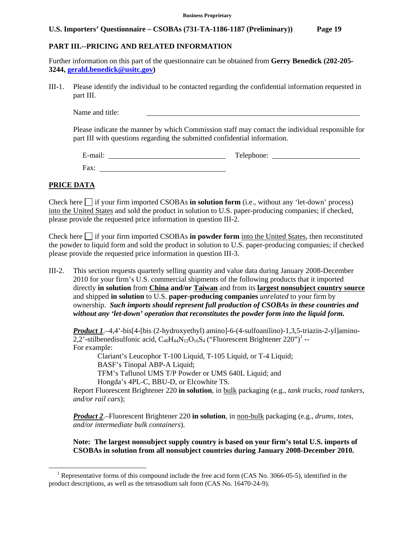#### **PART III.--PRICING AND RELATED INFORMATION**

Further information on this part of the questionnaire can be obtained from **Gerry Benedick (202-205- 3244, gerald.benedick@usitc.gov)**

III-1. Please identify the individual to be contacted regarding the confidential information requested in part III.

Name and title:

Please indicate the manner by which Commission staff may contact the individual responsible for part III with questions regarding the submitted confidential information.

E-mail: Telephone: Telephone: Telephone: Telephone: Telephone: Telephone: Telephone: Telephone: Telephone: Telephone: Telephone: Telephone: Telephone: Telephone: Telephone: Telephone: Telephone: Telephone: Telephone: Telep Fax:

#### **PRICE DATA**

 $\overline{a}$ 

Check here  $\Box$  if your firm imported CSOBAs **in solution form** (i.e., without any 'let-down' process) into the United States and sold the product in solution to U.S. paper-producing companies; if checked, please provide the requested price information in question III-2.

Check here  $\Box$  if your firm imported CSOBAs **in powder form** into the United States, then reconstituted the powder to liquid form and sold the product in solution to U.S. paper-producing companies; if checked please provide the requested price information in question III-3.

III-2. This section requests quarterly selling quantity and value data during January 2008-December 2010 for your firm's U.S. commercial shipments of the following products that it imported directly **in solution** from **China and/or Taiwan** and from its **largest nonsubject country source** and shipped **in solution** to U.S. **paper-producing companies** *unrelated* to your firm by ownership. *Such imports should represent full production of CSOBAs in these countries and without any 'let-down' operation that reconstitutes the powder form into the liquid form.*

*Product 1.*–4,4'-bis[4-[bis (2-hydroxyethyl) amino]-6-(4-sulfoanilino)-1,3,5-triazin-2-yl]amino-2,2'-stilbenedisulfonic acid,  $C_{40}H_{44}N_{12}O_{16}S_4$  ("Fluorescent Brightener 220")<sup>1</sup> --For example:

 Clariant's Leucophor T-100 Liquid, T-105 Liquid, or T-4 Liquid; BASF's Tinopal ABP-A Liquid; TFM's Taflunol UMS T/P Powder or UMS 640L Liquid; and Hongda's 4PL-C, BBU-D, or Elcowhite TS.

Report Fluorescent Brightener 220 **in solution**, in bulk packaging (e.g., *tank trucks, road tankers, and/or rail cars*);

*Product 2*.–Fluorescent Brightener 220 **in solution**, in non-bulk packaging (e.g., *drums, totes, and/or intermediate bulk containers*).

**Note: The largest nonsubject supply country is based on your firm's total U.S. imports of CSOBAs in solution from all nonsubject countries during January 2008-December 2010.** 

<sup>&</sup>lt;sup>1</sup> Representative forms of this compound include the free acid form (CAS No. 3066-05-5), identified in the product descriptions, as well as the tetrasodium salt form (CAS No. 16470-24-9).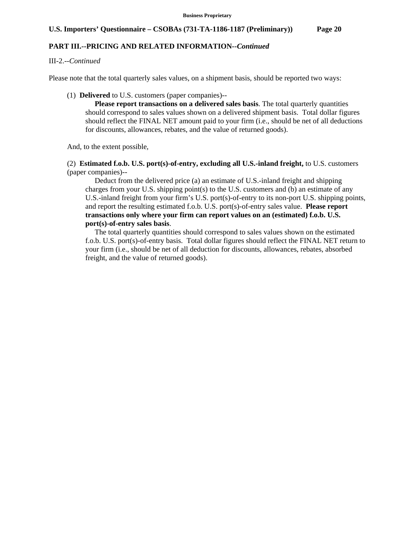#### **PART III.--PRICING AND RELATED INFORMATION***--Continued*

#### III-2.--*Continued*

Please note that the total quarterly sales values, on a shipment basis, should be reported two ways:

(1) **Delivered** to U.S. customers (paper companies)--

 **Please report transactions on a delivered sales basis**. The total quarterly quantities should correspond to sales values shown on a delivered shipment basis. Total dollar figures should reflect the FINAL NET amount paid to your firm (i.e., should be net of all deductions for discounts, allowances, rebates, and the value of returned goods).

And, to the extent possible,

 (2) **Estimated f.o.b. U.S. port(s)-of-entry, excluding all U.S.-inland freight,** to U.S. customers (paper companies)--

 Deduct from the delivered price (a) an estimate of U.S.-inland freight and shipping charges from your U.S. shipping point(s) to the U.S. customers and (b) an estimate of any U.S.-inland freight from your firm's U.S. port(s)-of-entry to its non-port U.S. shipping points, and report the resulting estimated f.o.b. U.S. port(s)-of-entry sales value. **Please report transactions only where your firm can report values on an (estimated) f.o.b. U.S. port(s)-of-entry sales basis**.

 The total quarterly quantities should correspond to sales values shown on the estimated f.o.b. U.S. port(s)-of-entry basis. Total dollar figures should reflect the FINAL NET return to your firm (i.e., should be net of all deduction for discounts, allowances, rebates, absorbed freight, and the value of returned goods).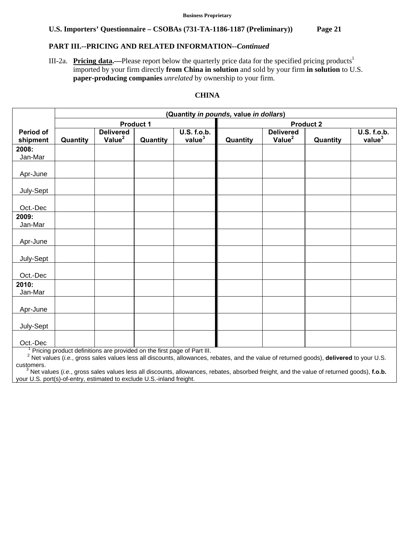# **PART III.--PRICING AND RELATED INFORMATION***--Continued*

III-2a. **Pricing data.**—Please report below the quarterly price data for the specified pricing products<sup>1</sup> imported by your firm directly **from China in solution** and sold by your firm **in solution** to U.S. **paper-producing companies** *unrelated* by ownership to your firm.

# **CHINA**

|                       | (Quantity in pounds, value in dollars) |                                                                         |          |                                   |          |                                                                                                                                                     |          |                                          |
|-----------------------|----------------------------------------|-------------------------------------------------------------------------|----------|-----------------------------------|----------|-----------------------------------------------------------------------------------------------------------------------------------------------------|----------|------------------------------------------|
|                       | <b>Product 1</b>                       |                                                                         |          | <b>Product 2</b>                  |          |                                                                                                                                                     |          |                                          |
| Period of<br>shipment | Quantity                               | <b>Delivered</b><br>Value <sup>2</sup>                                  | Quantity | U.S. f.o.b.<br>value <sup>3</sup> | Quantity | <b>Delivered</b><br>Value <sup>2</sup>                                                                                                              | Quantity | <b>U.S. f.o.b.</b><br>value <sup>3</sup> |
| 2008:                 |                                        |                                                                         |          |                                   |          |                                                                                                                                                     |          |                                          |
| Jan-Mar               |                                        |                                                                         |          |                                   |          |                                                                                                                                                     |          |                                          |
| Apr-June              |                                        |                                                                         |          |                                   |          |                                                                                                                                                     |          |                                          |
| July-Sept             |                                        |                                                                         |          |                                   |          |                                                                                                                                                     |          |                                          |
| Oct.-Dec              |                                        |                                                                         |          |                                   |          |                                                                                                                                                     |          |                                          |
| 2009:<br>Jan-Mar      |                                        |                                                                         |          |                                   |          |                                                                                                                                                     |          |                                          |
| Apr-June              |                                        |                                                                         |          |                                   |          |                                                                                                                                                     |          |                                          |
| July-Sept             |                                        |                                                                         |          |                                   |          |                                                                                                                                                     |          |                                          |
| Oct.-Dec              |                                        |                                                                         |          |                                   |          |                                                                                                                                                     |          |                                          |
| 2010:<br>Jan-Mar      |                                        |                                                                         |          |                                   |          |                                                                                                                                                     |          |                                          |
| Apr-June              |                                        |                                                                         |          |                                   |          |                                                                                                                                                     |          |                                          |
| July-Sept             |                                        |                                                                         |          |                                   |          |                                                                                                                                                     |          |                                          |
| Oct.-Dec              |                                        |                                                                         |          |                                   |          |                                                                                                                                                     |          |                                          |
| customers.            |                                        | Pricing product definitions are provided on the first page of Part III. |          |                                   |          | <sup>2</sup> Net values (i.e., gross sales values less all discounts, allowances, rebates, and the value of returned goods), delivered to your U.S. |          |                                          |

 3 Net values (*i.e.*, gross sales values less all discounts, allowances, rebates, absorbed freight, and the value of returned goods), **f.o.b.** your U.S. port(s)-of-entry, estimated to exclude U.S.-inland freight.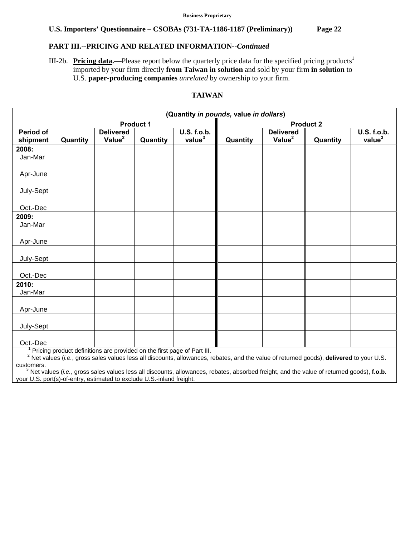# **PART III.--PRICING AND RELATED INFORMATION***--Continued*

III-2b. **Pricing data.**—Please report below the quarterly price data for the specified pricing products<sup>1</sup> imported by your firm directly **from Taiwan in solution** and sold by your firm **in solution** to U.S. **paper-producing companies** *unrelated* by ownership to your firm.

# **TAIWAN**

|                       | (Quantity in pounds, value in dollars) |                                                                         |                  |                                          |                  |                                                                                                                                                     |          |                                   |
|-----------------------|----------------------------------------|-------------------------------------------------------------------------|------------------|------------------------------------------|------------------|-----------------------------------------------------------------------------------------------------------------------------------------------------|----------|-----------------------------------|
|                       |                                        |                                                                         | <b>Product 1</b> |                                          | <b>Product 2</b> |                                                                                                                                                     |          |                                   |
| Period of<br>shipment | Quantity                               | <b>Delivered</b><br>Value <sup>2</sup>                                  | Quantity         | <b>U.S. f.o.b.</b><br>value <sup>3</sup> | Quantity         | <b>Delivered</b><br>Value <sup>2</sup>                                                                                                              | Quantity | U.S. f.o.b.<br>value <sup>3</sup> |
| 2008:                 |                                        |                                                                         |                  |                                          |                  |                                                                                                                                                     |          |                                   |
| Jan-Mar               |                                        |                                                                         |                  |                                          |                  |                                                                                                                                                     |          |                                   |
| Apr-June              |                                        |                                                                         |                  |                                          |                  |                                                                                                                                                     |          |                                   |
| July-Sept             |                                        |                                                                         |                  |                                          |                  |                                                                                                                                                     |          |                                   |
| Oct.-Dec              |                                        |                                                                         |                  |                                          |                  |                                                                                                                                                     |          |                                   |
| 2009:<br>Jan-Mar      |                                        |                                                                         |                  |                                          |                  |                                                                                                                                                     |          |                                   |
| Apr-June              |                                        |                                                                         |                  |                                          |                  |                                                                                                                                                     |          |                                   |
| July-Sept             |                                        |                                                                         |                  |                                          |                  |                                                                                                                                                     |          |                                   |
| Oct.-Dec              |                                        |                                                                         |                  |                                          |                  |                                                                                                                                                     |          |                                   |
| 2010:<br>Jan-Mar      |                                        |                                                                         |                  |                                          |                  |                                                                                                                                                     |          |                                   |
| Apr-June              |                                        |                                                                         |                  |                                          |                  |                                                                                                                                                     |          |                                   |
| July-Sept             |                                        |                                                                         |                  |                                          |                  |                                                                                                                                                     |          |                                   |
| Oct.-Dec              |                                        |                                                                         |                  |                                          |                  |                                                                                                                                                     |          |                                   |
|                       |                                        | Pricing product definitions are provided on the first page of Part III. |                  |                                          |                  |                                                                                                                                                     |          |                                   |
|                       |                                        |                                                                         |                  |                                          |                  | <sup>2</sup> Net values (i.e., gross sales values less all discounts, allowances, rebates, and the value of returned goods), delivered to your U.S. |          |                                   |
| customers.            |                                        |                                                                         |                  |                                          |                  |                                                                                                                                                     |          |                                   |

 3 Net values (*i.e.*, gross sales values less all discounts, allowances, rebates, absorbed freight, and the value of returned goods), **f.o.b.** your U.S. port(s)-of-entry, estimated to exclude U.S.-inland freight.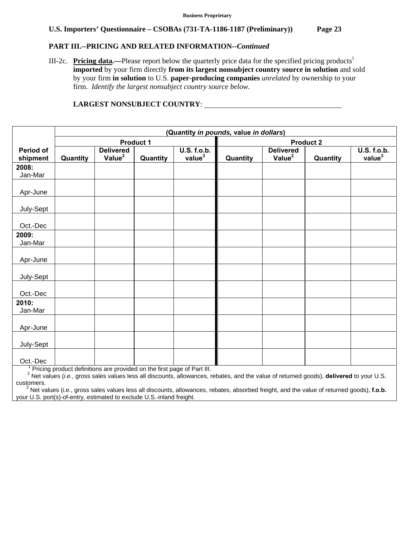#### **PART III.--PRICING AND RELATED INFORMATION***--Continued*

III-2c. **Pricing data.**—Please report below the quarterly price data for the specified pricing products<sup>1</sup> **imported** by your firm directly **from its largest nonsubject country source in solution** and sold by your firm **in solution** to U.S. **paper-producing companies** *unrelated* by ownership to your firm. *Identify the largest nonsubject country source below*.

# **Period of shipment (Quantity** *in pounds,* **value** *in dollars***)**  Product 1 **Product 2 Quantity Delivered Value<sup>2</sup> Quantity U.S. f.o.b. Quantity Delivered Value<sup>2</sup> Quantity U.S. f.o.b. value<sup>3</sup> 2008:**  Jan-Mar Apr-June July-Sept Oct.-Dec **2009:**  Jan-Mar Apr-June July-Sept Oct.-Dec **2010:**  Jan-Mar Apr-June July-Sept

#### **LARGEST NONSUBJECT COUNTRY**:

Oct.-Dec | Contained a later and the first page of Part III.

 Pricing product definitions are provided on the first page of Part III. 2 Net values (*i.e.*, gross sales values less all discounts, allowances, rebates, and the value of returned goods), **delivered** to your U.S. customers.

 3 Net values (*i.e.*, gross sales values less all discounts, allowances, rebates, absorbed freight, and the value of returned goods), **f.o.b.** your U.S. port(s)-of-entry, estimated to exclude U.S.-inland freight.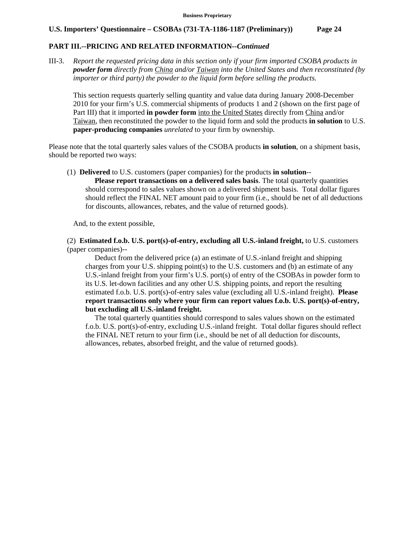#### **PART III.--PRICING AND RELATED INFORMATION***--Continued*

III-3. *Report the requested pricing data in this section only if your firm imported CSOBA products in powder form directly from China and/or Taiwan into the United States and then reconstituted (by importer or third party) the powder to the liquid form before selling the products.* 

 This section requests quarterly selling quantity and value data during January 2008-December 2010 for your firm's U.S. commercial shipments of products 1 and 2 (shown on the first page of Part III) that it imported **in powder form** into the United States directly from China and/or Taiwan, then reconstituted the powder to the liquid form and sold the products **in solution** to U.S. **paper-producing companies** *unrelated* to your firm by ownership.

Please note that the total quarterly sales values of the CSOBA products **in solution**, on a shipment basis, should be reported two ways:

(1) **Delivered** to U.S. customers (paper companies) for the products **in solution**--

 **Please report transactions on a delivered sales basis**. The total quarterly quantities should correspond to sales values shown on a delivered shipment basis. Total dollar figures should reflect the FINAL NET amount paid to your firm (i.e., should be net of all deductions for discounts, allowances, rebates, and the value of returned goods).

And, to the extent possible,

 (2) **Estimated f.o.b. U.S. port(s)-of-entry, excluding all U.S.-inland freight,** to U.S. customers (paper companies)--

 Deduct from the delivered price (a) an estimate of U.S.-inland freight and shipping charges from your U.S. shipping point(s) to the U.S. customers and (b) an estimate of any U.S.-inland freight from your firm's U.S. port(s) of entry of the CSOBAs in powder form to its U.S. let-down facilities and any other U.S. shipping points, and report the resulting estimated f.o.b. U.S. port(s)-of-entry sales value (excluding all U.S.-inland freight). **Please report transactions only where your firm can report values f.o.b. U.S. port(s)-of-entry, but excluding all U.S.-inland freight.**

 The total quarterly quantities should correspond to sales values shown on the estimated f.o.b. U.S. port(s)-of-entry, excluding U.S.-inland freight. Total dollar figures should reflect the FINAL NET return to your firm (i.e., should be net of all deduction for discounts, allowances, rebates, absorbed freight, and the value of returned goods).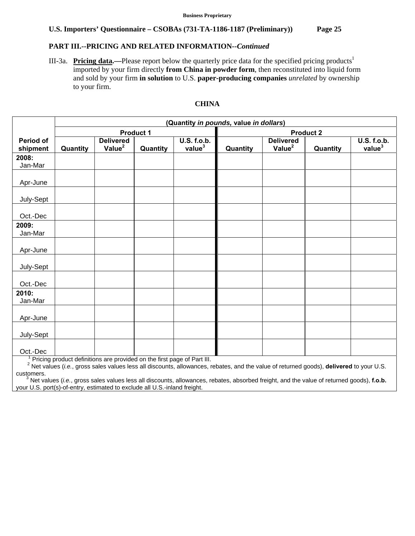## **PART III.--PRICING AND RELATED INFORMATION***--Continued*

III-3a. **Pricing data.**—Please report below the quarterly price data for the specified pricing products<sup>1</sup> imported by your firm directly **from China in powder form**, then reconstituted into liquid form and sold by your firm **in solution** to U.S. **paper-producing companies** *unrelated* by ownership to your firm.

#### **CHINA**

|                       | (Quantity in pounds, value in dollars) |                                                                                      |           |                                          |                  |                                        |          |                                          |
|-----------------------|----------------------------------------|--------------------------------------------------------------------------------------|-----------|------------------------------------------|------------------|----------------------------------------|----------|------------------------------------------|
|                       |                                        |                                                                                      | Product 1 |                                          | <b>Product 2</b> |                                        |          |                                          |
| Period of<br>shipment | Quantity                               | <b>Delivered</b><br>Value <sup>2</sup>                                               | Quantity  | <b>U.S. f.o.b.</b><br>value <sup>3</sup> | Quantity         | <b>Delivered</b><br>Value <sup>2</sup> | Quantity | <b>U.S. f.o.b.</b><br>value <sup>3</sup> |
| 2008:<br>Jan-Mar      |                                        |                                                                                      |           |                                          |                  |                                        |          |                                          |
| Apr-June              |                                        |                                                                                      |           |                                          |                  |                                        |          |                                          |
| July-Sept             |                                        |                                                                                      |           |                                          |                  |                                        |          |                                          |
| Oct.-Dec              |                                        |                                                                                      |           |                                          |                  |                                        |          |                                          |
| 2009:<br>Jan-Mar      |                                        |                                                                                      |           |                                          |                  |                                        |          |                                          |
| Apr-June              |                                        |                                                                                      |           |                                          |                  |                                        |          |                                          |
| July-Sept             |                                        |                                                                                      |           |                                          |                  |                                        |          |                                          |
| Oct.-Dec              |                                        |                                                                                      |           |                                          |                  |                                        |          |                                          |
| 2010:<br>Jan-Mar      |                                        |                                                                                      |           |                                          |                  |                                        |          |                                          |
| Apr-June              |                                        |                                                                                      |           |                                          |                  |                                        |          |                                          |
| July-Sept             |                                        |                                                                                      |           |                                          |                  |                                        |          |                                          |
| Oct.-Dec              |                                        |                                                                                      |           |                                          |                  |                                        |          |                                          |
|                       |                                        | <sup>1</sup> Pricing product definitions are provided on the first page of Part III. |           |                                          |                  |                                        |          |                                          |

 Pricing product definitions are provided on the first page of Part III. 2 Net values (*i.e.*, gross sales values less all discounts, allowances, rebates, and the value of returned goods), **delivered** to your U.S. customers.

 3 Net values (*i.e.*, gross sales values less all discounts, allowances, rebates, absorbed freight, and the value of returned goods), **f.o.b.** your U.S. port(s)-of-entry, estimated to exclude all U.S.-inland freight.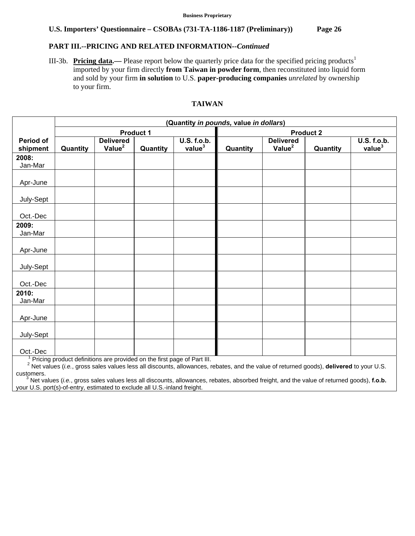## **PART III.--PRICING AND RELATED INFORMATION***--Continued*

III-3b. **Pricing data.**— Please report below the quarterly price data for the specified pricing products<sup>1</sup> imported by your firm directly **from Taiwan in powder form**, then reconstituted into liquid form and sold by your firm **in solution** to U.S. **paper-producing companies** *unrelated* by ownership to your firm.

### **TAIWAN**

|                       | (Quantity in pounds, value in dollars) |                                                                         |           |                                          |                  |                                        |          |                                          |
|-----------------------|----------------------------------------|-------------------------------------------------------------------------|-----------|------------------------------------------|------------------|----------------------------------------|----------|------------------------------------------|
|                       |                                        |                                                                         | Product 1 |                                          | <b>Product 2</b> |                                        |          |                                          |
| Period of<br>shipment | Quantity                               | <b>Delivered</b><br>Value <sup>2</sup>                                  | Quantity  | <b>U.S. f.o.b.</b><br>value <sup>3</sup> | Quantity         | <b>Delivered</b><br>Value <sup>2</sup> | Quantity | <b>U.S. f.o.b.</b><br>value <sup>3</sup> |
| 2008:<br>Jan-Mar      |                                        |                                                                         |           |                                          |                  |                                        |          |                                          |
| Apr-June              |                                        |                                                                         |           |                                          |                  |                                        |          |                                          |
| July-Sept             |                                        |                                                                         |           |                                          |                  |                                        |          |                                          |
| Oct.-Dec              |                                        |                                                                         |           |                                          |                  |                                        |          |                                          |
| 2009:<br>Jan-Mar      |                                        |                                                                         |           |                                          |                  |                                        |          |                                          |
| Apr-June              |                                        |                                                                         |           |                                          |                  |                                        |          |                                          |
| July-Sept             |                                        |                                                                         |           |                                          |                  |                                        |          |                                          |
| Oct.-Dec              |                                        |                                                                         |           |                                          |                  |                                        |          |                                          |
| 2010:<br>Jan-Mar      |                                        |                                                                         |           |                                          |                  |                                        |          |                                          |
| Apr-June              |                                        |                                                                         |           |                                          |                  |                                        |          |                                          |
| July-Sept             |                                        |                                                                         |           |                                          |                  |                                        |          |                                          |
| Oct.-Dec              |                                        |                                                                         |           |                                          |                  |                                        |          |                                          |
|                       |                                        | Pricing product definitions are provided on the first page of Part III. |           |                                          |                  |                                        |          |                                          |

 Pricing product definitions are provided on the first page of Part III. 2 Net values (*i.e.*, gross sales values less all discounts, allowances, rebates, and the value of returned goods), **delivered** to your U.S. customers.

 3 Net values (*i.e.*, gross sales values less all discounts, allowances, rebates, absorbed freight, and the value of returned goods), **f.o.b.** your U.S. port(s)-of-entry, estimated to exclude all U.S.-inland freight.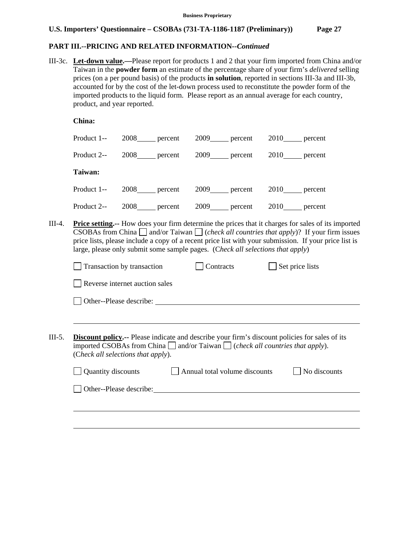## **PART III.--PRICING AND RELATED INFORMATION***--Continued*

III-3c. **Let-down value.—**Please report for products 1 and 2 that your firm imported from China and/or Taiwan in the **powder form** an estimate of the percentage share of your firm's *delivered* selling prices (on a per pound basis) of the products **in solution**, reported in sections III-3a and III-3b, accounted for by the cost of the let-down process used to reconstitute the powder form of the imported products to the liquid form. Please report as an annual average for each country, product, and year reported.

|        | China:      |                    |                |                                                                                                                                                                                                                   |
|--------|-------------|--------------------|----------------|-------------------------------------------------------------------------------------------------------------------------------------------------------------------------------------------------------------------|
|        | Product 1-- | 2008 percent       | $2009$ percent | 2010 percent                                                                                                                                                                                                      |
|        | Product 2-- | $2008$ ___ percent | $2009$ percent | $2010$ percent                                                                                                                                                                                                    |
|        | Taiwan:     |                    |                |                                                                                                                                                                                                                   |
|        | Product 1-- | $2008$ ___ percent | $2009$ percent | 2010 percent                                                                                                                                                                                                      |
|        | Product 2-- | $2008$ ___ percent | 2009 percent   | $2010$ percent                                                                                                                                                                                                    |
| III-4. |             |                    |                | <b>Price setting.</b> -- How does your firm determine the prices that it charges for sales of its imported<br>CSOBAs from China $\Box$ and/or Taiwan $\Box$ (check all countries that apply)? If your firm issues |

CSOBAs from China  $\Box$  and/or Taiwan  $\Box$  (*check all countries that apply*)? If your firm issues price lists, please include a copy of a recent price list with your submission. If your price list is large, please only submit some sample pages. (C*heck all selections that apply*)

| Reverse internet auction sales     |                                                                                                                                                                                                    |                         |
|------------------------------------|----------------------------------------------------------------------------------------------------------------------------------------------------------------------------------------------------|-------------------------|
|                                    |                                                                                                                                                                                                    |                         |
| Other--Please describe:            |                                                                                                                                                                                                    |                         |
|                                    |                                                                                                                                                                                                    |                         |
| (Check all selections that apply). | <b>Discount policy.</b> -- Please indicate and describe your firm's discount policies for sales of its<br>imported CSOBAs from China $\Box$ and/or Taiwan $\Box$ (check all countries that apply). |                         |
| Quantity discounts                 | Annual total volume discounts                                                                                                                                                                      | No discounts            |
|                                    |                                                                                                                                                                                                    |                         |
|                                    |                                                                                                                                                                                                    | Other--Please describe: |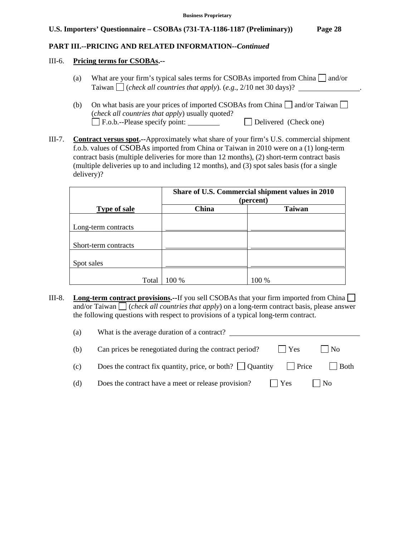## **PART III.--PRICING AND RELATED INFORMATION***--Continued*

#### III-6. **Pricing terms for CSOBAs.--**

- (a) What are your firm's typical sales terms for CSOBAs imported from China  $\Box$  and/or Taiwan  $\Box$  (*check all countries that apply*). (*e.g.*, 2/10 net 30 days)?
- (b) On what basis are your prices of imported CSOBAs from China  $\Box$  and/or Taiwan  $\Box$ (*check all countries that apply*) usually quoted? F.o.b.--Please specify point: Delivered (Check one)
- III-7. **Contract versus spot.--**Approximately what share of your firm's U.S. commercial shipment f.o.b. values of CSOBAs imported from China or Taiwan in 2010 were on a (1) long-term contract basis (multiple deliveries for more than 12 months), (2) short-term contract basis (multiple deliveries up to and including 12 months), and (3) spot sales basis (for a single delivery)?

|                      | Share of U.S. Commercial shipment values in 2010<br>(percent) |               |
|----------------------|---------------------------------------------------------------|---------------|
| <b>Type of sale</b>  | China                                                         | <b>Taiwan</b> |
|                      |                                                               |               |
| Long-term contracts  |                                                               |               |
|                      |                                                               |               |
| Short-term contracts |                                                               |               |
|                      |                                                               |               |
| Spot sales           |                                                               |               |
| Total                | 100 %                                                         | 100 %         |

III-8. **Long-term contract provisions.--**If you sell CSOBAs that your firm imported from China and/or Taiwan  $\Box$  (*check all countries that apply*) on a long-term contract basis, please answer the following questions with respect to provisions of a typical long-term contract.

| (a) | What is the average duration of a contract?                                                |
|-----|--------------------------------------------------------------------------------------------|
| (b) | $ $ No<br>Can prices be renegotiated during the contract period?<br>$ $ $ $ Yes            |
| (c) | Does the contract fix quantity, price, or both? $\Box$ Quantity<br>  Price<br>$\vert$ Both |
| (d) | Does the contract have a meet or release provision?<br>l No<br>$\vert$   Yes               |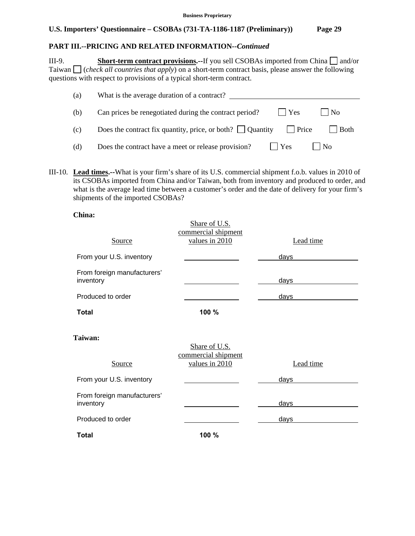# **PART III.--PRICING AND RELATED INFORMATION***--Continued*

III-9. **Short-term contract provisions.**--If you sell CSOBAs imported from China  $\Box$  and/or Taiwan (*check all countries that apply*) on a short-term contract basis, please answer the following questions with respect to provisions of a typical short-term contract.

| (a) | What is the average duration of a contract?                                                    |
|-----|------------------------------------------------------------------------------------------------|
| (b) | $ $ $ $ Yes<br>$\Box$ No<br>Can prices be renegotiated during the contract period?             |
| (c) | Does the contract fix quantity, price, or both? $\Box$ Quantity $\Box$ Price<br>$\vert$   Both |
| (d) | Does the contract have a meet or release provision?<br>$\vert$   Yes<br>l No                   |

III-10. **Lead times.--**What is your firm's share of its U.S. commercial shipment f.o.b. values in 2010 of its CSOBAs imported from China and/or Taiwan, both from inventory and produced to order, and what is the average lead time between a customer's order and the date of delivery for your firm's shipments of the imported CSOBAs?

#### **China:**

| <b>Source</b>                            | Share of U.S.<br>commercial shipment<br>values in 2010 | Lead time   |
|------------------------------------------|--------------------------------------------------------|-------------|
| From your U.S. inventory                 |                                                        | days        |
| From foreign manufacturers'<br>inventory |                                                        | <u>days</u> |
| Produced to order                        |                                                        | days        |
| <b>Total</b>                             | 100 %                                                  |             |
| Taiwan:<br>Source                        | Share of U.S.<br>commercial shipment<br>values in 2010 | Lead time   |
| From your U.S. inventory                 |                                                        | days        |
| From foreign manufacturers'<br>inventory |                                                        | days        |
| Produced to order                        |                                                        | days        |
| <b>Total</b>                             | 100 %                                                  |             |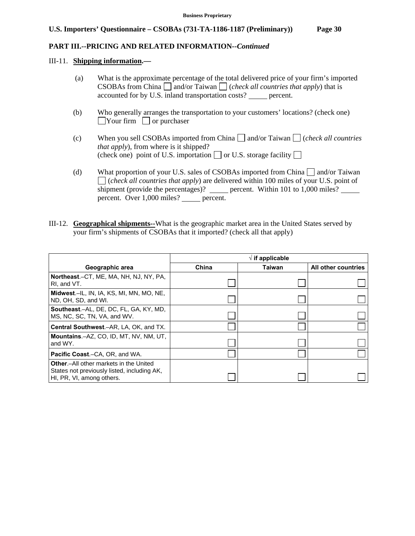#### **PART III.--PRICING AND RELATED INFORMATION***--Continued*

#### III-11. **Shipping information.—**

- (a) What is the approximate percentage of the total delivered price of your firm's imported CSOBAs from China  $\Box$  and/or Taiwan  $\Box$  (*check all countries that apply*) that is accounted for by U.S. inland transportation costs? percent.
- (b) Who generally arranges the transportation to your customers' locations? (check one)  $\Box$ Your firm  $\Box$  or purchaser
- (c) When you sell CSOBAs imported from China  $\Box$  and/or Taiwan  $\Box$  (*check all countries that apply*), from where is it shipped? (check one) point of U.S. importation  $\Box$  or U.S. storage facility  $\Box$
- (d) What proportion of your U.S. sales of CSOBAs imported from China  $\Box$  and/or Taiwan (*check all countries that apply*) are delivered within 100 miles of your U.S. point of shipment (provide the percentages)? \_\_\_\_\_\_ percent. Within 101 to 1,000 miles? \_\_\_\_\_\_ percent. Over 1,000 miles? percent.
- III-12. **Geographical shipments--**What is the geographic market area in the United States served by your firm's shipments of CSOBAs that it imported? (check all that apply)

|                                                                                                                            | $\sqrt{ }$ if applicable |               |                     |
|----------------------------------------------------------------------------------------------------------------------------|--------------------------|---------------|---------------------|
| Geographic area                                                                                                            | China                    | <b>Taiwan</b> | All other countries |
| Northeast.-CT, ME, MA, NH, NJ, NY, PA,<br>RI, and VT.                                                                      |                          |               |                     |
| Midwest.-IL, IN, IA, KS, MI, MN, MO, NE,<br>ND, OH, SD, and WI.                                                            |                          |               |                     |
| Southeast.-AL, DE, DC, FL, GA, KY, MD,<br>MS, NC, SC, TN, VA, and WV.                                                      |                          |               |                     |
| Central Southwest.-AR, LA, OK, and TX.                                                                                     |                          |               |                     |
| Mountains.-AZ, CO, ID, MT, NV, NM, UT,<br>and WY.                                                                          |                          |               |                     |
| <b>Pacific Coast.–CA, OR, and WA.</b>                                                                                      |                          |               |                     |
| <b>Other.</b> -All other markets in the United<br>States not previously listed, including AK,<br>HI, PR, VI, among others. |                          |               |                     |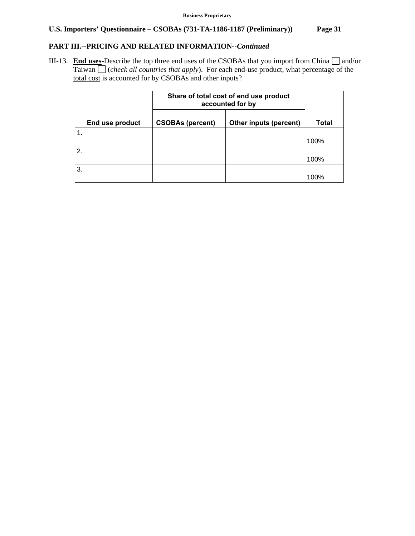# **PART III.--PRICING AND RELATED INFORMATION***--Continued*

III-13. **End uses-**Describe the top three end uses of the CSOBAs that you import from China  $\Box$  and/or Taiwan (*check all countries that apply*). For each end-use product, what percentage of the total cost is accounted for by CSOBAs and other inputs?

|                  |                 | Share of total cost of end use product<br>accounted for by |                        |       |
|------------------|-----------------|------------------------------------------------------------|------------------------|-------|
|                  | End use product | <b>CSOBAs (percent)</b>                                    | Other inputs (percent) | Total |
| $\mathbf 1$ .    |                 |                                                            |                        | 100%  |
| $\overline{2}$ . |                 |                                                            |                        | 100%  |
| 3.               |                 |                                                            |                        | 100%  |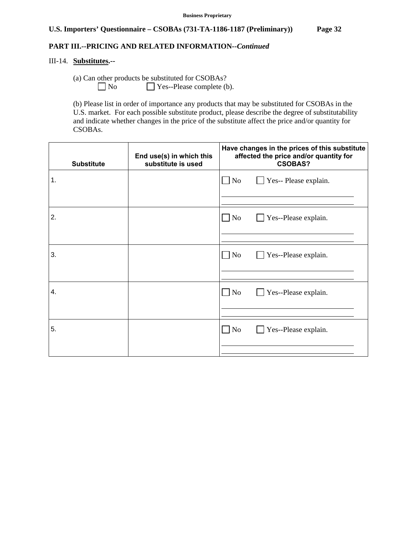## **PART III.--PRICING AND RELATED INFORMATION***--Continued*

## III-14. **Substitutes.--**

(a) Can other products be substituted for CSOBAs?

 $\Box$  No  $\Box$  Yes--Please complete (b).

 (b) Please list in order of importance any products that may be substituted for CSOBAs in the U.S. market. For each possible substitute product, please describe the degree of substitutability and indicate whether changes in the price of the substitute affect the price and/or quantity for CSOBAs.

| <b>Substitute</b> | End use(s) in which this<br>substitute is used | Have changes in the prices of this substitute<br>affected the price and/or quantity for<br><b>CSOBAS?</b> |  |
|-------------------|------------------------------------------------|-----------------------------------------------------------------------------------------------------------|--|
| 1.                |                                                | $\blacksquare$ No<br>Yes-- Please explain.                                                                |  |
| 2.                |                                                | $\Box$ No<br>Yes--Please explain.                                                                         |  |
| 3.                |                                                | $\Box$ No<br>Yes--Please explain.                                                                         |  |
| 4.                |                                                | $\Box$ No<br>Yes--Please explain.                                                                         |  |
|                   |                                                |                                                                                                           |  |
| 5.                |                                                | $\neg$ No<br>Yes--Please explain.                                                                         |  |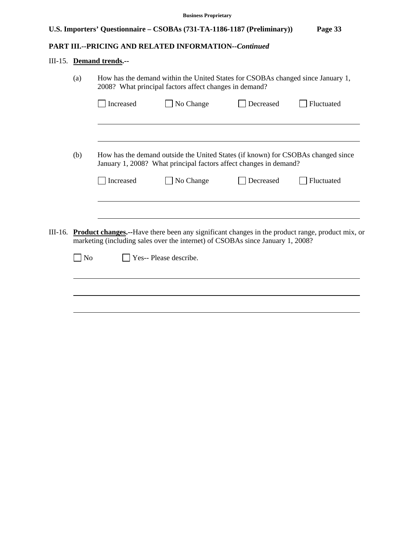# **PART III.--PRICING AND RELATED INFORMATION***--Continued*

# III-15. **Demand trends.--**

|         | (a)<br>How has the demand within the United States for CSOBAs changed since January 1,<br>2008? What principal factors affect changes in demand? |           |                                                                                                                                                       |           |                                                                                                         |
|---------|--------------------------------------------------------------------------------------------------------------------------------------------------|-----------|-------------------------------------------------------------------------------------------------------------------------------------------------------|-----------|---------------------------------------------------------------------------------------------------------|
|         |                                                                                                                                                  | Increased | No Change                                                                                                                                             | Decreased | Fluctuated                                                                                              |
|         |                                                                                                                                                  |           |                                                                                                                                                       |           |                                                                                                         |
|         | (b)                                                                                                                                              |           | How has the demand outside the United States (if known) for CSOBAs changed since<br>January 1, 2008? What principal factors affect changes in demand? |           |                                                                                                         |
|         |                                                                                                                                                  | Increased | No Change                                                                                                                                             | Decreased | Fluctuated                                                                                              |
|         |                                                                                                                                                  |           |                                                                                                                                                       |           |                                                                                                         |
| III-16. |                                                                                                                                                  |           | marketing (including sales over the internet) of CSOBAs since January 1, 2008?                                                                        |           | <b>Product changes.</b> --Have there been any significant changes in the product range, product mix, or |
|         | $\blacksquare$ No                                                                                                                                |           | Yes-- Please describe.                                                                                                                                |           |                                                                                                         |
|         |                                                                                                                                                  |           |                                                                                                                                                       |           |                                                                                                         |
|         |                                                                                                                                                  |           |                                                                                                                                                       |           |                                                                                                         |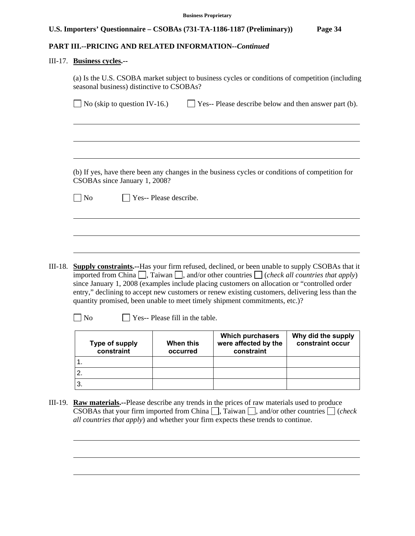# **PART III.--PRICING AND RELATED INFORMATION***--Continued*

#### III-17. **Business cycles.--**

2. 3.

l

|                                     | $\blacksquare$ No (skip to question IV-16.) |                                 | $\Box$ Yes-- Please describe below and then answer part (b).                                                                                                                                                                                                                                                                                                                                                                                                                                                   |                                        |
|-------------------------------------|---------------------------------------------|---------------------------------|----------------------------------------------------------------------------------------------------------------------------------------------------------------------------------------------------------------------------------------------------------------------------------------------------------------------------------------------------------------------------------------------------------------------------------------------------------------------------------------------------------------|----------------------------------------|
|                                     |                                             |                                 |                                                                                                                                                                                                                                                                                                                                                                                                                                                                                                                |                                        |
|                                     |                                             |                                 |                                                                                                                                                                                                                                                                                                                                                                                                                                                                                                                |                                        |
|                                     |                                             |                                 |                                                                                                                                                                                                                                                                                                                                                                                                                                                                                                                |                                        |
|                                     | CSOBAs since January 1, 2008?               |                                 | (b) If yes, have there been any changes in the business cycles or conditions of competition for                                                                                                                                                                                                                                                                                                                                                                                                                |                                        |
| $\neg$ No                           | Yes-- Please describe.                      |                                 |                                                                                                                                                                                                                                                                                                                                                                                                                                                                                                                |                                        |
|                                     |                                             |                                 |                                                                                                                                                                                                                                                                                                                                                                                                                                                                                                                |                                        |
|                                     |                                             |                                 |                                                                                                                                                                                                                                                                                                                                                                                                                                                                                                                |                                        |
|                                     |                                             |                                 |                                                                                                                                                                                                                                                                                                                                                                                                                                                                                                                |                                        |
|                                     |                                             |                                 |                                                                                                                                                                                                                                                                                                                                                                                                                                                                                                                |                                        |
|                                     |                                             |                                 |                                                                                                                                                                                                                                                                                                                                                                                                                                                                                                                |                                        |
| III-18.                             |                                             |                                 | <b>Supply constraints.</b> --Has your firm refused, declined, or been unable to supply CSOBAs that it<br>imported from China $\Box$ , Taiwan $\Box$ , and/or other countries $\Box$ ( <i>check all countries that apply</i> )<br>since January 1, 2008 (examples include placing customers on allocation or "controlled order<br>entry," declining to accept new customers or renew existing customers, delivering less than the<br>quantity promised, been unable to meet timely shipment commitments, etc.)? |                                        |
| No                                  |                                             | Yes-- Please fill in the table. |                                                                                                                                                                                                                                                                                                                                                                                                                                                                                                                |                                        |
| <b>Type of supply</b><br>constraint |                                             | When this<br>occurred           | Which purchasers<br>were affected by the<br>constraint                                                                                                                                                                                                                                                                                                                                                                                                                                                         | Why did the supply<br>constraint occur |

III-19. **Raw materials.--**Please describe any trends in the prices of raw materials used to produce  $\overline{\text{CSOBAs}}$  that your firm imported from China  $\Box$ , Taiwan  $\Box$ , and/or other countries  $\Box$  (*check all countries that apply*) and whether your firm expects these trends to continue.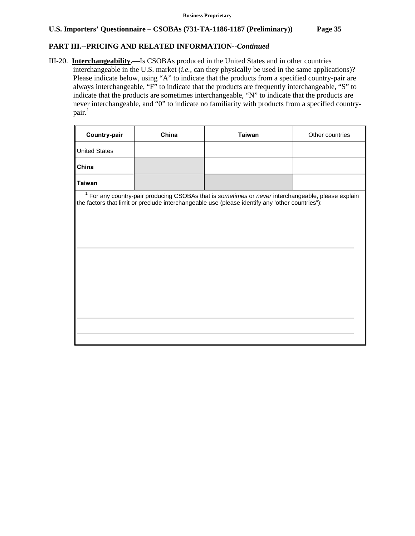# **PART III.--PRICING AND RELATED INFORMATION***--Continued*

III-20. **Interchangeability.—**Is CSOBAs produced in the United States and in other countries interchangeable in the U.S. market (*i.e.*, can they physically be used in the same applications)? Please indicate below, using "A" to indicate that the products from a specified country-pair are always interchangeable, "F" to indicate that the products are frequently interchangeable, "S" to indicate that the products are sometimes interchangeable, "N" to indicate that the products are never interchangeable, and "0" to indicate no familiarity with products from a specified country $pair.<sup>1</sup>$ 

| Country-pair                                                                                                                                                                                                     | China | <b>Taiwan</b> | Other countries |  |  |
|------------------------------------------------------------------------------------------------------------------------------------------------------------------------------------------------------------------|-------|---------------|-----------------|--|--|
| <b>United States</b>                                                                                                                                                                                             |       |               |                 |  |  |
| China                                                                                                                                                                                                            |       |               |                 |  |  |
| <b>Taiwan</b>                                                                                                                                                                                                    |       |               |                 |  |  |
| <sup>1</sup> For any country-pair producing CSOBAs that is sometimes or never interchangeable, please explain<br>the factors that limit or preclude interchangeable use (please identify any 'other countries"): |       |               |                 |  |  |
|                                                                                                                                                                                                                  |       |               |                 |  |  |
|                                                                                                                                                                                                                  |       |               |                 |  |  |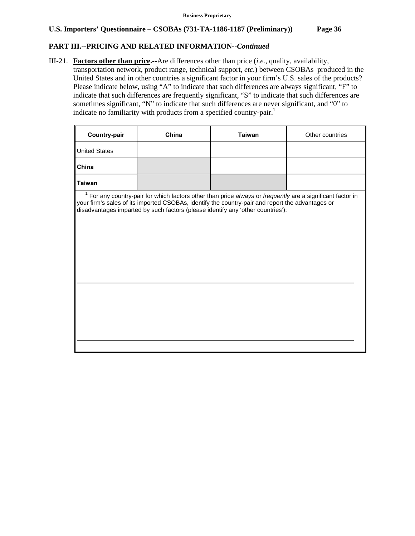# **PART III.--PRICING AND RELATED INFORMATION***--Continued*

III-21. **Factors other than price.--**Are differences other than price (*i.e.*, quality, availability, transportation network, product range, technical support, *etc.*) between CSOBAs produced in the United States and in other countries a significant factor in your firm's U.S. sales of the products? Please indicate below, using "A" to indicate that such differences are always significant, "F" to indicate that such differences are frequently significant, "S" to indicate that such differences are sometimes significant, "N" to indicate that such differences are never significant, and "0" to indicate no familiarity with products from a specified country-pair.<sup>1</sup>

| <b>Country-pair</b>  | China | <b>Taiwan</b>                                                                                                                                                                                                                                                                                                | Other countries |
|----------------------|-------|--------------------------------------------------------------------------------------------------------------------------------------------------------------------------------------------------------------------------------------------------------------------------------------------------------------|-----------------|
| <b>United States</b> |       |                                                                                                                                                                                                                                                                                                              |                 |
| China                |       |                                                                                                                                                                                                                                                                                                              |                 |
| <b>Taiwan</b>        |       |                                                                                                                                                                                                                                                                                                              |                 |
|                      |       | <sup>1</sup> For any country-pair for which factors other than price always or frequently are a significant factor in<br>your firm's sales of its imported CSOBAs, identify the country-pair and report the advantages or<br>disadvantages imparted by such factors (please identify any 'other countries'): |                 |
|                      |       |                                                                                                                                                                                                                                                                                                              |                 |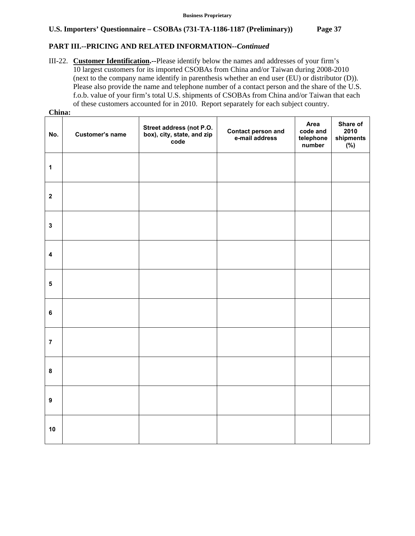# **PART III.--PRICING AND RELATED INFORMATION***--Continued*

III-22. **Customer Identification.--**Please identify below the names and addresses of your firm's 10 largest customers for its imported CSOBAs from China and/or Taiwan during 2008-2010 (next to the company name identify in parenthesis whether an end user (EU) or distributor (D)). Please also provide the name and telephone number of a contact person and the share of the U.S. f.o.b. value of your firm's total U.S. shipments of CSOBAs from China and/or Taiwan that each of these customers accounted for in 2010. Report separately for each subject country.  $\overline{\mathbf{C}}$ :

| China:                  |                 |                                                                |                                             |                                         |                                      |  |  |  |  |
|-------------------------|-----------------|----------------------------------------------------------------|---------------------------------------------|-----------------------------------------|--------------------------------------|--|--|--|--|
| No.                     | Customer's name | Street address (not P.O.<br>box), city, state, and zip<br>code | <b>Contact person and</b><br>e-mail address | Area<br>code and<br>telephone<br>number | Share of<br>2010<br>shipments<br>(%) |  |  |  |  |
| $\mathbf{1}$            |                 |                                                                |                                             |                                         |                                      |  |  |  |  |
| $\overline{\mathbf{2}}$ |                 |                                                                |                                             |                                         |                                      |  |  |  |  |
| $\mathbf{3}$            |                 |                                                                |                                             |                                         |                                      |  |  |  |  |
| $\overline{\mathbf{4}}$ |                 |                                                                |                                             |                                         |                                      |  |  |  |  |
| $\overline{\mathbf{5}}$ |                 |                                                                |                                             |                                         |                                      |  |  |  |  |
| $\bf 6$                 |                 |                                                                |                                             |                                         |                                      |  |  |  |  |
| $\overline{7}$          |                 |                                                                |                                             |                                         |                                      |  |  |  |  |
| 8                       |                 |                                                                |                                             |                                         |                                      |  |  |  |  |
| $\boldsymbol{9}$        |                 |                                                                |                                             |                                         |                                      |  |  |  |  |
| 10                      |                 |                                                                |                                             |                                         |                                      |  |  |  |  |